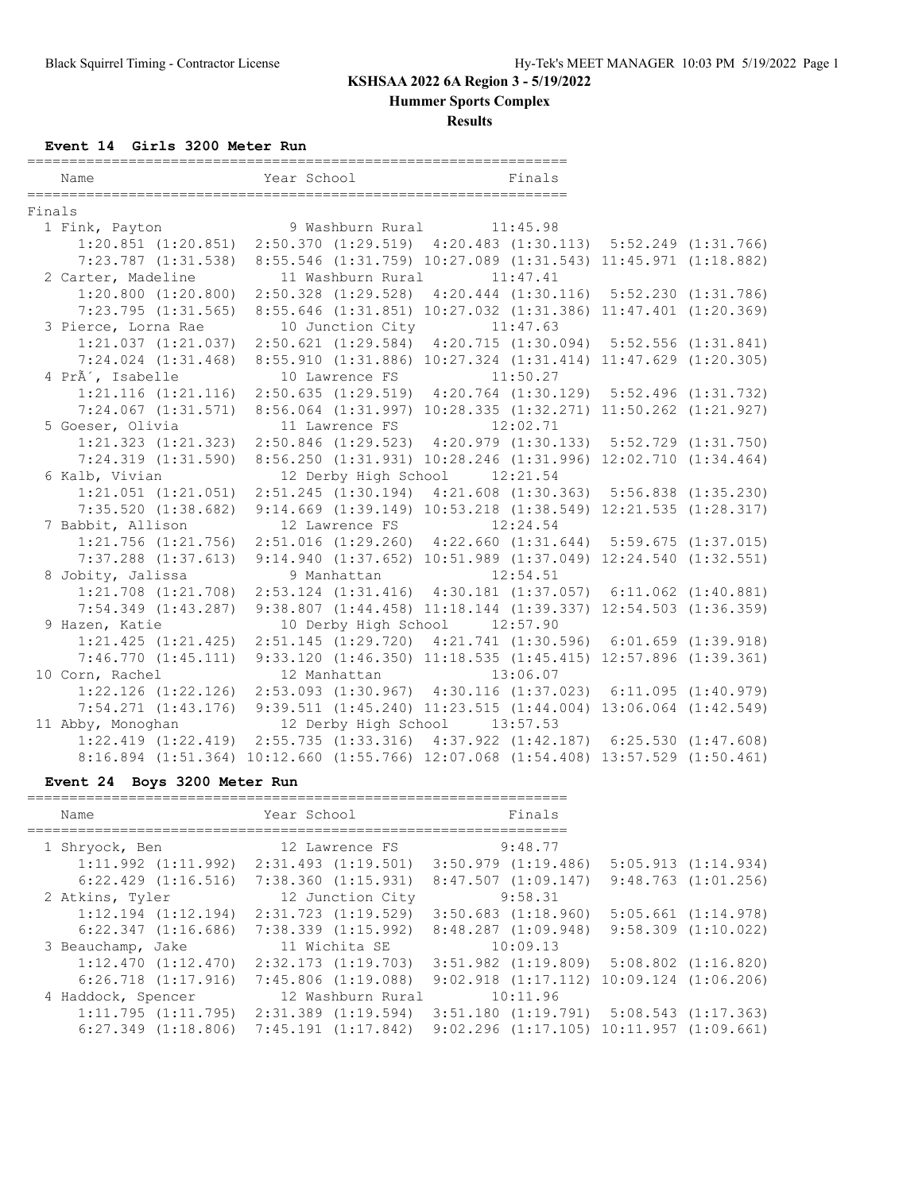**Hummer Sports Complex**

**Results**

### **Event 14 Girls 3200 Meter Run**

|        | Name                    | Year School                                                                        | Finals                                                            |  |
|--------|-------------------------|------------------------------------------------------------------------------------|-------------------------------------------------------------------|--|
| Finals |                         |                                                                                    |                                                                   |  |
|        | 1 Fink, Payton          |                                                                                    | 9 Washburn Rural 11:45.98                                         |  |
|        |                         | 1:20.851 (1:20.851) 2:50.370 (1:29.519) 4:20.483 (1:30.113) 5:52.249 (1:31.766)    |                                                                   |  |
|        | $7:23.787$ $(1:31.538)$ |                                                                                    | 8:55.546 (1:31.759) 10:27.089 (1:31.543) 11:45.971 (1:18.882)     |  |
|        | 2 Carter, Madeline      |                                                                                    | 11 Washburn Rural 11:47.41                                        |  |
|        |                         | 1:20.800 (1:20.800) 2:50.328 (1:29.528) 4:20.444 (1:30.116) 5:52.230 (1:31.786)    |                                                                   |  |
|        | 7:23.795(1:31.565)      |                                                                                    | 8:55.646 (1:31.851) 10:27.032 (1:31.386) 11:47.401 (1:20.369)     |  |
|        | 3 Pierce, Lorna Rae     | 10 Junction City 11:47.63                                                          |                                                                   |  |
|        |                         | 1:21.037 (1:21.037) 2:50.621 (1:29.584) 4:20.715 (1:30.094) 5:52.556 (1:31.841)    |                                                                   |  |
|        |                         | 7:24.024 (1:31.468) 8:55.910 (1:31.886) 10:27.324 (1:31.414) 11:47.629 (1:20.305)  |                                                                   |  |
|        | 4 PrÃ', Isabelle        |                                                                                    | 10 Lawrence FS 11:50.27                                           |  |
|        |                         | 1:21.116 (1:21.116) 2:50.635 (1:29.519) 4:20.764 (1:30.129) 5:52.496 (1:31.732)    |                                                                   |  |
|        |                         | 7:24.067 (1:31.571) 8:56.064 (1:31.997) 10:28.335 (1:32.271) 11:50.262 (1:21.927)  |                                                                   |  |
|        | 5 Goeser, Olivia        | 11 Lawrence FS 12:02.71                                                            |                                                                   |  |
|        | $1:21.323$ $(1:21.323)$ |                                                                                    | 2:50.846 (1:29.523) 4:20.979 (1:30.133) 5:52.729 (1:31.750)       |  |
|        | $7:24.319$ $(1:31.590)$ |                                                                                    | 8:56.250 (1:31.931) 10:28.246 (1:31.996) 12:02.710 (1:34.464)     |  |
|        | 6 Kalb, Vivian          |                                                                                    | 12 Derby High School 12:21.54                                     |  |
|        | $1:21.051$ $(1:21.051)$ |                                                                                    | 2:51.245 (1:30.194) 4:21.608 (1:30.363) 5:56.838 (1:35.230)       |  |
|        | $7:35.520$ $(1:38.682)$ |                                                                                    | 9:14.669 (1:39.149) 10:53.218 (1:38.549) 12:21.535 (1:28.317)     |  |
|        | 7 Babbit, Allison       | 12 Lawrence FS                                                                     | 12:24.54                                                          |  |
|        | $1:21.756$ $(1:21.756)$ |                                                                                    | $2:51.016$ (1:29.260) $4:22.660$ (1:31.644) $5:59.675$ (1:37.015) |  |
|        | $7:37.288$ $(1:37.613)$ |                                                                                    | 9:14.940 (1:37.652) 10:51.989 (1:37.049) 12:24.540 (1:32.551)     |  |
|        | 8 Jobity, Jalissa       | 9 Manhattan                                                                        | 12:54.51                                                          |  |
|        |                         | 1:21.708 (1:21.708) 2:53.124 (1:31.416) 4:30.181 (1:37.057) 6:11.062 (1:40.881)    |                                                                   |  |
|        | $7:54.349$ $(1:43.287)$ |                                                                                    | 9:38.807 (1:44.458) 11:18.144 (1:39.337) 12:54.503 (1:36.359)     |  |
|        | 9 Hazen, Katie          |                                                                                    | 10 Derby High School 12:57.90                                     |  |
|        | 1:21.425(1:21.425)      |                                                                                    | 2:51.145 (1:29.720) 4:21.741 (1:30.596) 6:01.659 (1:39.918)       |  |
|        | 7:46.770(1:45.111)      |                                                                                    | 9:33.120 (1:46.350) 11:18.535 (1:45.415) 12:57.896 (1:39.361)     |  |
|        | 10 Corn, Rachel         |                                                                                    | 12 Manhattan 13:06.07                                             |  |
|        |                         | 1:22.126 (1:22.126) 2:53.093 (1:30.967) 4:30.116 (1:37.023) 6:11.095 (1:40.979)    |                                                                   |  |
|        |                         | 7:54.271 (1:43.176) 9:39.511 (1:45.240) 11:23.515 (1:44.004) 13:06.064 (1:42.549)  |                                                                   |  |
|        | 11 Abby, Monoghan       |                                                                                    | 12 Derby High School 13:57.53                                     |  |
|        | $1:22.419$ $(1:22.419)$ |                                                                                    | 2:55.735 (1:33.316) 4:37.922 (1:42.187) 6:25.530 (1:47.608)       |  |
|        |                         | 8:16.894 (1:51.364) 10:12.660 (1:55.766) 12:07.068 (1:54.408) 13:57.529 (1:50.461) |                                                                   |  |

## **Event 24 Boys 3200 Meter Run**

| Name                    | Year School                                     | Finals                  |                                                  |
|-------------------------|-------------------------------------------------|-------------------------|--------------------------------------------------|
|                         |                                                 |                         |                                                  |
| 1 Shryock, Ben          | 12 Lawrence FS                                  | 9:48.77                 |                                                  |
|                         | $1:11.992$ $(1:11.992)$ $2:31.493$ $(1:19.501)$ | $3:50.979$ $(1:19.486)$ | 5:05.913(1:14.934)                               |
| $6:22.429$ $(1:16.516)$ | 7:38.360(1:15.931)                              | 8:47.507(1:09.147)      | $9:48.763$ $(1:01.256)$                          |
| 2 Atkins, Tyler         | 12 Junction City                                | 9:58.31                 |                                                  |
| $1:12.194$ $(1:12.194)$ | $2:31.723$ $(1:19.529)$                         | $3:50.683$ $(1:18.960)$ | $5:05.661$ $(1:14.978)$                          |
| $6:22.347$ $(1:16.686)$ | $7:38.339$ $(1:15.992)$                         | $8:48.287$ $(1:09.948)$ | $9:58.309$ $(1:10.022)$                          |
| 3 Beauchamp, Jake       | 11 Wichita SE                                   | 10:09.13                |                                                  |
| $1:12.470$ $(1:12.470)$ | $2:32.173$ $(1:19.703)$                         | $3:51.982$ $(1:19.809)$ | $5:08.802$ $(1:16.820)$                          |
| $6:26.718$ $(1:17.916)$ | $7:45.806$ $(1:19.088)$                         |                         | $9:02.918$ $(1:17.112)$ $10:09.124$ $(1:06.206)$ |
| 4 Haddock, Spencer      | 12 Washburn Rural                               | 10:11.96                |                                                  |
| 1:11.795(1:11.795)      | $2:31.389$ $(1:19.594)$                         |                         | $3:51.180$ $(1:19.791)$ $5:08.543$ $(1:17.363)$  |
| $6:27.349$ $(1:18.806)$ | $7:45.191$ $(1:17.842)$                         |                         | $9:02.296$ (1:17.105) 10:11.957 (1:09.661)       |
|                         |                                                 |                         |                                                  |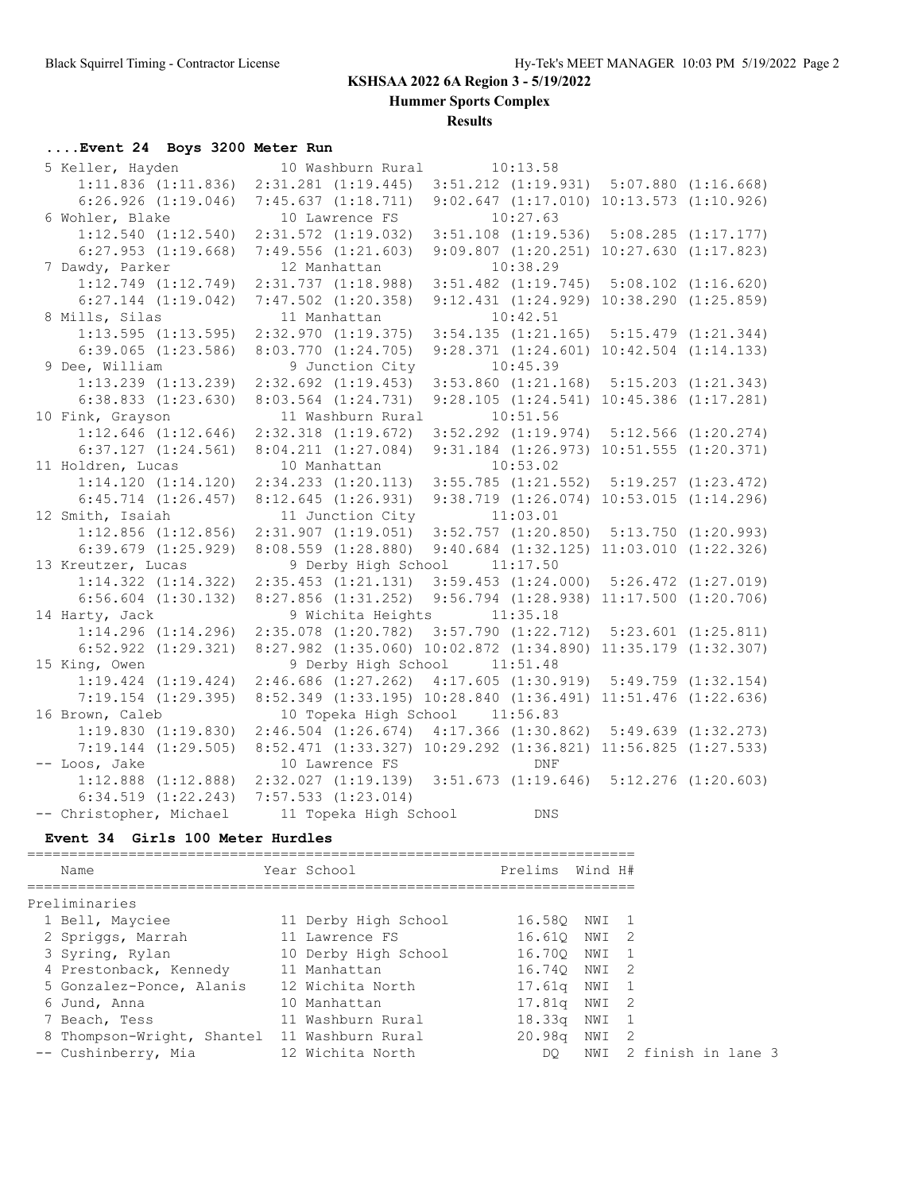**Hummer Sports Complex**

**Results**

## **....Event 24 Boys 3200 Meter Run**

| 5 Keller, Hayden        | 10 Washburn Rural                                                       | 10:13.58                                         |  |
|-------------------------|-------------------------------------------------------------------------|--------------------------------------------------|--|
| $1:11.836$ $(1:11.836)$ | $2:31.281$ $(1:19.445)$                                                 | $3:51.212$ $(1:19.931)$ $5:07.880$ $(1:16.668)$  |  |
| $6:26.926$ $(1:19.046)$ | 7:45.637(1:18.711)                                                      | $9:02.647$ $(1:17.010)$ $10:13.573$ $(1:10.926)$ |  |
| 6 Wohler, Blake         | 10 Lawrence FS                                                          | 10:27.63                                         |  |
| $1:12.540$ $(1:12.540)$ | $2:31.572$ $(1:19.032)$                                                 | $3:51.108$ $(1:19.536)$ $5:08.285$ $(1:17.177)$  |  |
| $6:27.953$ $(1:19.668)$ | $7:49.556$ $(1:21.603)$                                                 | $9:09.807$ $(1:20.251)$ $10:27.630$ $(1:17.823)$ |  |
| 7 Dawdy, Parker         | 12 Manhattan                                                            | 10:38.29                                         |  |
| $1:12.749$ $(1:12.749)$ | 2:31.737(1:18.988)                                                      | $3:51.482$ $(1:19.745)$ $5:08.102$ $(1:16.620)$  |  |
| $6:27.144$ $(1:19.042)$ | $7:47.502$ $(1:20.358)$                                                 | 9:12.431 (1:24.929) 10:38.290 (1:25.859)         |  |
| 8 Mills, Silas          | 11 Manhattan                                                            | 10:42.51                                         |  |
| $1:13.595$ $(1:13.595)$ | 2:32.970(1:19.375)                                                      | $3:54.135$ $(1:21.165)$ $5:15.479$ $(1:21.344)$  |  |
| $6:39.065$ $(1:23.586)$ | $8:03.770$ $(1:24.705)$                                                 | $9:28.371$ $(1:24.601)$ $10:42.504$ $(1:14.133)$ |  |
| 9 Dee, William          | 9 Junction City                                                         | 10:45.39                                         |  |
| $1:13.239$ $(1:13.239)$ | $2:32.692$ $(1:19.453)$                                                 | $3:53.860$ $(1:21.168)$ $5:15.203$ $(1:21.343)$  |  |
| $6:38.833$ $(1:23.630)$ | $8:03.564$ $(1:24.731)$                                                 | $9:28.105$ $(1:24.541)$ $10:45.386$ $(1:17.281)$ |  |
| 10 Fink, Grayson        | 11 Washburn Rural                                                       | 10:51.56                                         |  |
| $1:12.646$ $(1:12.646)$ | $2:32.318$ $(1:19.672)$                                                 | $3:52.292$ $(1:19.974)$ $5:12.566$ $(1:20.274)$  |  |
| $6:37.127$ $(1:24.561)$ | $8:04.211$ $(1:27.084)$                                                 | 9:31.184 (1:26.973) 10:51.555 (1:20.371)         |  |
| 11 Holdren, Lucas       | 10 Manhattan                                                            | 10:53.02                                         |  |
| $1:14.120$ $(1:14.120)$ | $2:34.233$ $(1:20.113)$ $3:55.785$ $(1:21.552)$ $5:19.257$ $(1:23.472)$ |                                                  |  |
| $6:45.714$ $(1:26.457)$ | 8:12.645(1:26.931)                                                      | $9:38.719$ $(1:26.074)$ $10:53.015$ $(1:14.296)$ |  |
| 12 Smith, Isaiah        | 11 Junction City 11:03.01                                               |                                                  |  |
| $1:12.856$ $(1:12.856)$ | $2:31.907$ $(1:19.051)$ $3:52.757$ $(1:20.850)$ $5:13.750$ $(1:20.993)$ |                                                  |  |
| $6:39.679$ $(1:25.929)$ | 8:08.559 (1:28.880) 9:40.684 (1:32.125) 11:03.010 (1:22.326)            |                                                  |  |
| 13 Kreutzer, Lucas      | 9 Derby High School 11:17.50                                            |                                                  |  |
| $1:14.322$ $(1:14.322)$ | 2:35.453 (1:21.131) 3:59.453 (1:24.000) 5:26.472 (1:27.019)             |                                                  |  |
| $6:56.604$ $(1:30.132)$ | 8:27.856 (1:31.252) 9:56.794 (1:28.938) 11:17.500 (1:20.706)            |                                                  |  |
| 14 Harty, Jack          | 9 Wichita Heights 11:35.18                                              |                                                  |  |
| $1:14.296$ $(1:14.296)$ | 2:35.078 (1:20.782) 3:57.790 (1:22.712) 5:23.601 (1:25.811)             |                                                  |  |
| $6:52.922$ $(1:29.321)$ | 8:27.982 (1:35.060) 10:02.872 (1:34.890) 11:35.179 (1:32.307)           |                                                  |  |
| 15 King, Owen           | 9 Derby High School 11:51.48                                            |                                                  |  |
| $1:19.424$ $(1:19.424)$ | 2:46.686 (1:27.262) 4:17.605 (1:30.919) 5:49.759 (1:32.154)             |                                                  |  |
| $7:19.154$ $(1:29.395)$ | 8:52.349 (1:33.195) 10:28.840 (1:36.491) 11:51.476 (1:22.636)           |                                                  |  |
| 16 Brown, Caleb         | 10 Topeka High School 11:56.83                                          |                                                  |  |
| 1:19.830(1:19.830)      | 2:46.504 (1:26.674) 4:17.366 (1:30.862) 5:49.639 (1:32.273)             |                                                  |  |
| $7:19.144$ $(1:29.505)$ | 8:52.471 (1:33.327) 10:29.292 (1:36.821) 11:56.825 (1:27.533)           |                                                  |  |
| -- Loos, Jake           | 10 Lawrence FS                                                          | <b>DNF</b>                                       |  |
| $1:12.888$ $(1:12.888)$ | 2:32.027 (1:19.139) 3:51.673 (1:19.646) 5:12.276 (1:20.603)             |                                                  |  |
| $6:34.519$ $(1:22.243)$ | $7:57.533$ $(1:23.014)$                                                 |                                                  |  |
| -- Christopher, Michael | 11 Topeka High School                                                   | <b>DNS</b>                                       |  |

#### **Event 34 Girls 100 Meter Hurdles**

| Name                                         | Year School          | Prelims      | Wind H# |                    |
|----------------------------------------------|----------------------|--------------|---------|--------------------|
| Preliminaries                                |                      |              |         |                    |
| 1 Bell, Mayciee                              | 11 Derby High School | 16.580       | NWI 1   |                    |
| 2 Spriggs, Marrah                            | 11 Lawrence FS       | 16.610       | NWI 2   |                    |
| 3 Syring, Rylan                              | 10 Derby High School | 16.700       | NWI     |                    |
| 4 Prestonback, Kennedy                       | 11 Manhattan         | 16.740 NWI 2 |         |                    |
| 5 Gonzalez-Ponce, Alanis                     | 12 Wichita North     | 17.61a       | NWI     |                    |
| 6 Jund, Anna                                 | 10 Manhattan         | 17.81a       | NWI 2   |                    |
| 7 Beach, Tess                                | 11 Washburn Rural    | 18.33q       | NWI     |                    |
| 8 Thompson-Wright, Shantel 11 Washburn Rural |                      | 20.98q       | NWI     | $\overline{2}$     |
| -- Cushinberry, Mia                          | 12 Wichita North     | DO.          | NWI     | 2 finish in lane 3 |
|                                              |                      |              |         |                    |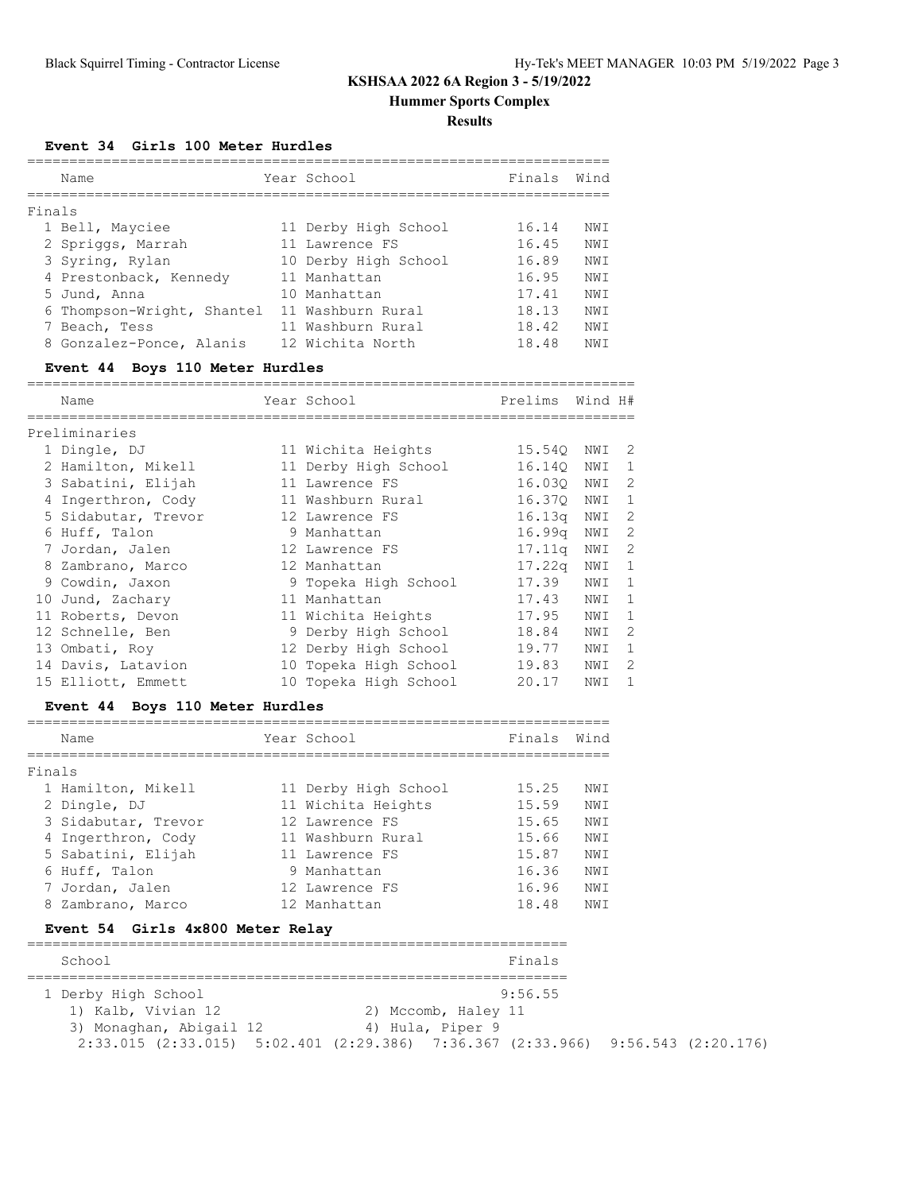**Hummer Sports Complex**

#### **Results**

**Event 34 Girls 100 Meter Hurdles**

|        | Name                       | Year School          | Finals | Wind |
|--------|----------------------------|----------------------|--------|------|
|        |                            |                      |        |      |
| Finals |                            |                      |        |      |
|        | 1 Bell, Mayciee            | 11 Derby High School | 16.14  | NWI  |
|        | 2 Spriggs, Marrah          | 11 Lawrence FS       | 16.45  | NW T |
|        | 3 Syring, Rylan            | 10 Derby High School | 16.89  | NW T |
|        | 4 Prestonback, Kennedy     | 11 Manhattan         | 16.95  | NWI  |
|        | 5 Jund, Anna               | 10 Manhattan         | 17.41  | NWI  |
|        | 6 Thompson-Wright, Shantel | 11 Washburn Rural    | 18.13  | NWI  |
|        | 7 Beach, Tess              | 11 Washburn Rural    | 18.42  | NW T |
|        | 8 Gonzalez-Ponce, Alanis   | 12 Wichita North     | 18.48  | NW I |

## **Event 44 Boys 110 Meter Hurdles**

|   | Name                | Year School           | Prelims            | Wind H# |              |
|---|---------------------|-----------------------|--------------------|---------|--------------|
|   | Preliminaries       |                       |                    |         |              |
|   | 1 Dingle, DJ        | 11 Wichita Heights    | 15.540             | NWI     | -2           |
|   | 2 Hamilton, Mikell  | 11 Derby High School  | 16.140             | NWI     | -1           |
|   | 3 Sabatini, Elijah  | 11 Lawrence FS        | 16.030             | NWI     | 2            |
| 4 | Ingerthron, Cody    | 11 Washburn Rural     | 16.370             | NWI     | $\mathbf{1}$ |
|   | 5 Sidabutar, Trevor | 12 Lawrence FS        | 16.13q             | NWI     | 2            |
| 6 | Huff, Talon         | 9 Manhattan           | 16.99 <sub>q</sub> | NWI     | 2            |
|   | 7 Jordan, Jalen     | 12 Lawrence FS        | 17.11q             | NWI     | 2            |
| 8 | Zambrano, Marco     | 12 Manhattan          | 17.22q             | NWI     | 1            |
|   | 9 Cowdin, Jaxon     | 9 Topeka High School  | 17.39              | NWI     | $\mathbf{1}$ |
|   | 10 Jund, Zachary    | 11 Manhattan          | 17.43              | NWI     | 1            |
|   | 11 Roberts, Devon   | 11 Wichita Heights    | 17.95              | NWI     | -1           |
|   | 12 Schnelle, Ben    | 9 Derby High School   | 18.84              | NWI     | 2            |
|   | 13 Ombati, Roy      | 12 Derby High School  | 19.77              | NWI     | 1            |
|   | 14 Davis, Latavion  | 10 Topeka High School | 19.83              | NWI     | 2            |
|   | 15 Elliott, Emmett  | 10 Topeka High School | 20.17              | NWI     | $\mathbf{1}$ |

## **Event 44 Boys 110 Meter Hurdles**

| Name                |  | Finals                                                                                                                                                              | Wind |
|---------------------|--|---------------------------------------------------------------------------------------------------------------------------------------------------------------------|------|
| Finals              |  |                                                                                                                                                                     |      |
| 1 Hamilton, Mikell  |  | 15.25                                                                                                                                                               | NWI  |
| 2 Dingle, DJ        |  | 15.59                                                                                                                                                               | NWI  |
| 3 Sidabutar, Trevor |  | 15.65                                                                                                                                                               | NWI  |
| 4 Ingerthron, Cody  |  | 15.66                                                                                                                                                               | NWI  |
| 5 Sabatini, Elijah  |  | 15.87                                                                                                                                                               | NWI  |
| 6 Huff, Talon       |  | 16.36                                                                                                                                                               | NWI  |
| 7 Jordan, Jalen     |  | 16.96                                                                                                                                                               | NWI  |
| 8 Zambrano, Marco   |  | 18.48                                                                                                                                                               | NWI  |
|                     |  | Year School<br>11 Derby High School<br>11 Wichita Heights<br>12 Lawrence FS<br>11 Washburn Rural<br>11 Lawrence FS<br>9 Manhattan<br>12 Lawrence FS<br>12 Manhattan |      |

#### **Event 54 Girls 4x800 Meter Relay**

| School                  | Finals                                                                                          |  |  |  |  |  |  |  |  |  |  |  |  |
|-------------------------|-------------------------------------------------------------------------------------------------|--|--|--|--|--|--|--|--|--|--|--|--|
|                         |                                                                                                 |  |  |  |  |  |  |  |  |  |  |  |  |
| 1 Derby High School     | 9:56.55                                                                                         |  |  |  |  |  |  |  |  |  |  |  |  |
| 1) Kalb, Vivian 12      | 2) Mccomb, Haley 11                                                                             |  |  |  |  |  |  |  |  |  |  |  |  |
| 3) Monaghan, Abigail 12 | 4) Hula, Piper 9                                                                                |  |  |  |  |  |  |  |  |  |  |  |  |
|                         | $2:33.015$ $(2:33.015)$ $5:02.401$ $(2:29.386)$ $7:36.367$ $(2:33.966)$ $9:56.543$ $(2:20.176)$ |  |  |  |  |  |  |  |  |  |  |  |  |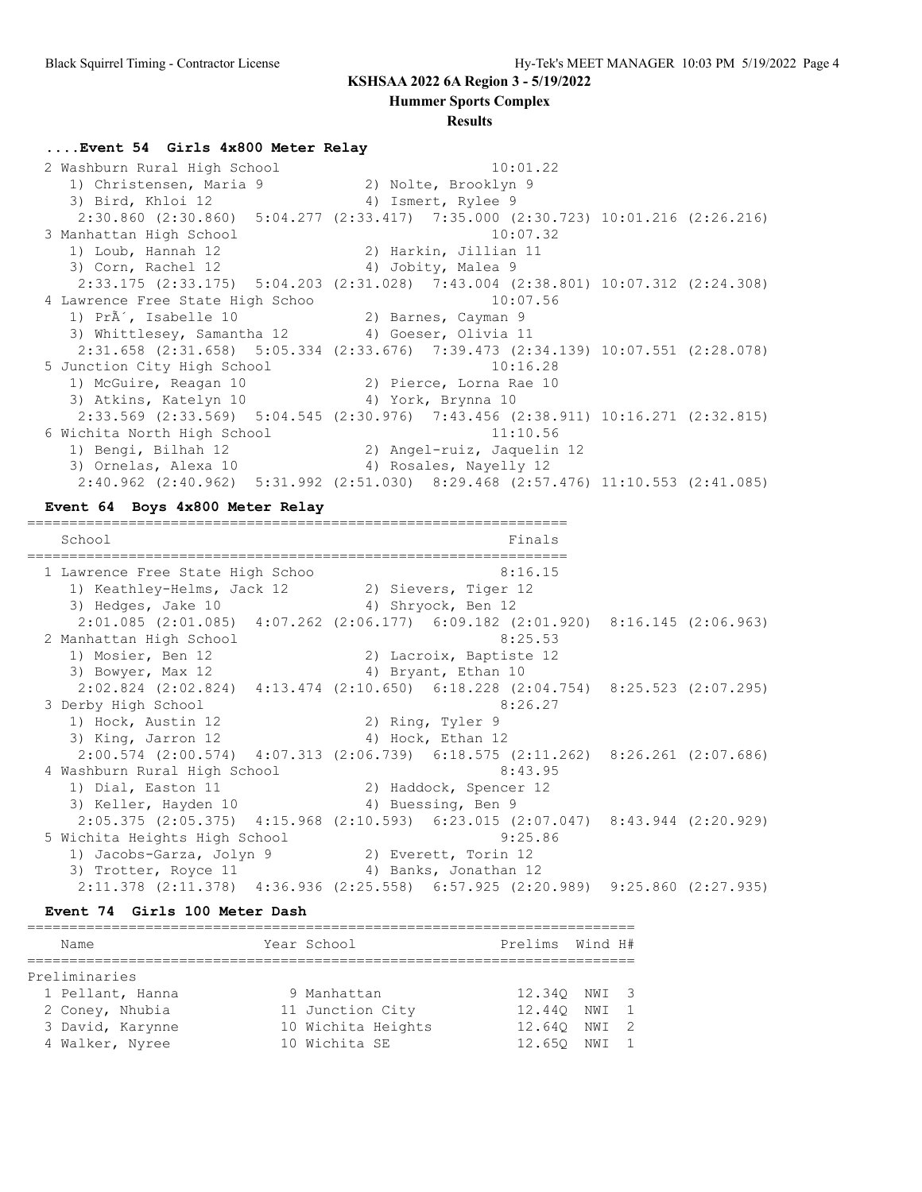**Hummer Sports Complex**

#### **Results**

#### **....Event 54 Girls 4x800 Meter Relay**

 2 Washburn Rural High School 10:01.22 1) Christensen, Maria 9 120 20 Nolte, Brooklyn 3) Bird, Khloi 12 4) Ismert, Rylee 9 2:30.860 (2:30.860) 5:04.277 (2:33.417) 7:35.000 (2:30.723) 10:01.216 (2:26.216) 3 Manhattan High School 10:07.32 1) Loub, Hannah 12 2) Harkin, Jillian 11 3) Corn, Rachel 12 4) Jobity, Malea 9 2:33.175 (2:33.175) 5:04.203 (2:31.028) 7:43.004 (2:38.801) 10:07.312 (2:24.308) 4 Lawrence Free State High Schoo 10:07.56 1) Pr $\tilde{A}'$ , Isabelle 10  $\hskip1cm$  2) Barnes, Cayman 9 3) Whittlesey, Samantha 12 (4) Goeser, Olivia 11 2:31.658 (2:31.658) 5:05.334 (2:33.676) 7:39.473 (2:34.139) 10:07.551 (2:28.078) 5 Junction City High School 10:16.28 1) McGuire, Reagan 10 2) Pierce, Lorna Rae 10 3) Atkins, Katelyn 10 (4) York, Brynna 10 2:33.569 (2:33.569) 5:04.545 (2:30.976) 7:43.456 (2:38.911) 10:16.271 (2:32.815) 6 Wichita North High School 11:10.56 1) Bengi, Bilhah 12 2) Angel-ruiz, Jaquelin 12 3) Ornelas, Alexa 10 4) Rosales, Nayelly 12 2:40.962 (2:40.962) 5:31.992 (2:51.030) 8:29.468 (2:57.476) 11:10.553 (2:41.085)

#### **Event 64 Boys 4x800 Meter Relay**

================================================================ School Finals ================================================================ 1 Lawrence Free State High Schoo 8:16.15 1) Keathley-Helms, Jack 12 2) Sievers, Tiger 12 3) Hedges, Jake 10 4) Shryock, Ben 12 2:01.085 (2:01.085) 4:07.262 (2:06.177) 6:09.182 (2:01.920) 8:16.145 (2:06.963) 2 Manhattan High School 8:25.53 1) Mosier, Ben 12 2) Lacroix, Baptiste 12 3) Bowyer, Max 12 4) Bryant, Ethan 10 2:02.824 (2:02.824) 4:13.474 (2:10.650) 6:18.228 (2:04.754) 8:25.523 (2:07.295) 3 Derby High School 8:26.27 1) Hock, Austin 12 2) Ring, Tyler 9 3) King, Jarron 12 4) Hock, Ethan 12 2:00.574 (2:00.574) 4:07.313 (2:06.739) 6:18.575 (2:11.262) 8:26.261 (2:07.686) 4 Washburn Rural High School 8:43.95 1) Dial, Easton 11 2) Haddock, Spencer 12 3) Keller, Hayden 10 4) Buessing, Ben 9 2:05.375 (2:05.375) 4:15.968 (2:10.593) 6:23.015 (2:07.047) 8:43.944 (2:20.929) 5 Wichita Heights High School 9:25.86 1) Jacobs-Garza, Jolyn 9 2) Everett, Torin 12 3) Trotter, Royce 11 4) Banks, Jonathan 12 2:11.378 (2:11.378) 4:36.936 (2:25.558) 6:57.925 (2:20.989) 9:25.860 (2:27.935)

#### **Event 74 Girls 100 Meter Dash**

| Name             | Year School        | Prelims Wind H# |  |
|------------------|--------------------|-----------------|--|
|                  |                    |                 |  |
| Preliminaries    |                    |                 |  |
| 1 Pellant, Hanna | 9 Manhattan        | 12.340 NWI 3    |  |
| 2 Coney, Nhubia  | 11 Junction City   | 12.440 NWI 1    |  |
| 3 David, Karynne | 10 Wichita Heights | 12.640 NWI 2    |  |
| 4 Walker, Nyree  | 10 Wichita SE      | 12.650 NWI      |  |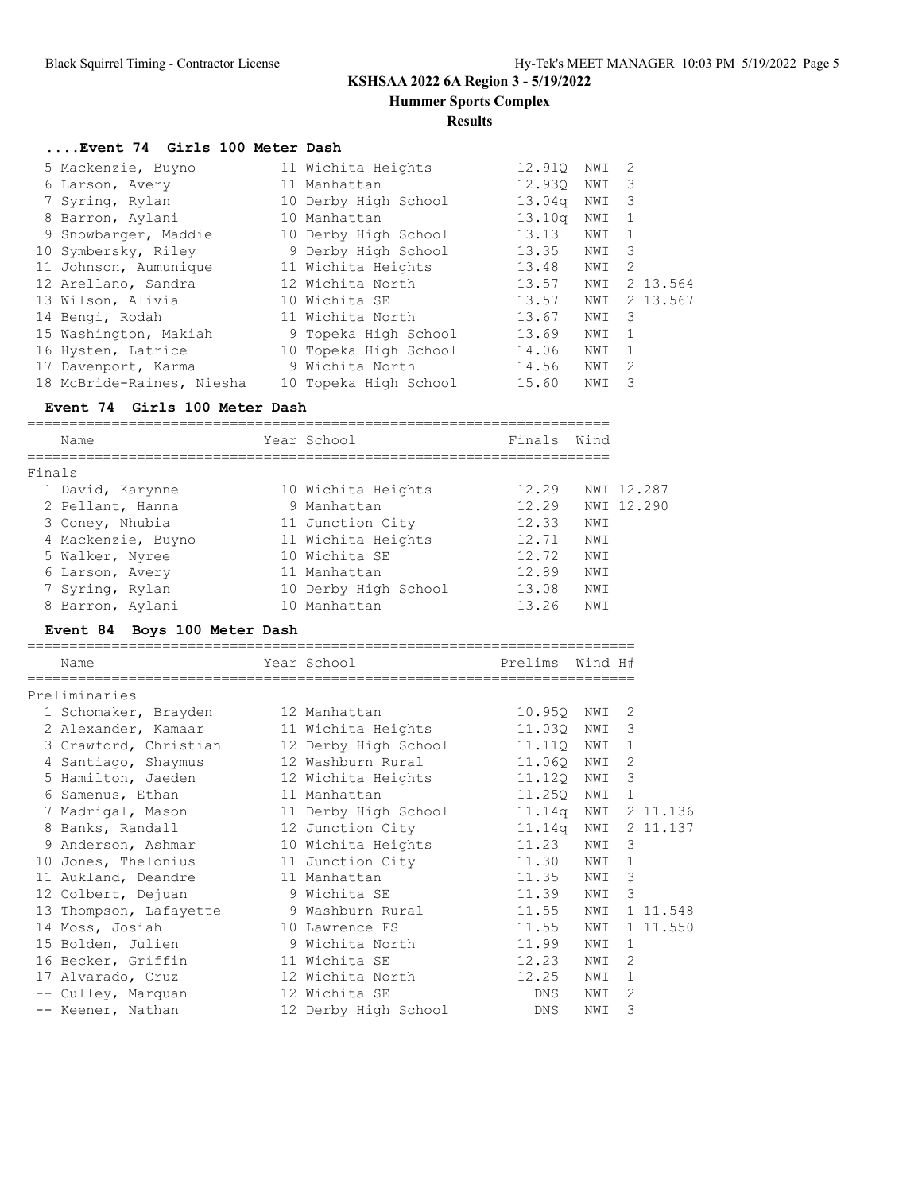**Hummer Sports Complex**

#### **Results**

### **....Event 74 Girls 100 Meter Dash**

| 5 Mackenzie, Buyno        | 11 Wichita Heights    | 12.910             | NWI | -2                      |
|---------------------------|-----------------------|--------------------|-----|-------------------------|
| 6 Larson, Avery           | 11 Manhattan          | 12.930             | NWI | -3                      |
| 7 Syring, Rylan           | 10 Derby High School  | 13.04 <sub>q</sub> | NWI | $\overline{\mathbf{3}}$ |
| 8 Barron, Aylani          | 10 Manhattan          | 13.10q             | NWI |                         |
| 9 Snowbarger, Maddie      | 10 Derby High School  | 13.13              | NWI |                         |
| 10 Symbersky, Riley       | 9 Derby High School   | 13.35              | NWI | - 3                     |
| 11 Johnson, Aumunique     | 11 Wichita Heights    | 13.48              | NWI | -2                      |
| 12 Arellano, Sandra       | 12 Wichita North      | 13.57              | NWI | 2 13.564                |
| 13 Wilson, Alivia         | 10 Wichita SE         | 13.57              | NWI | 2 13.567                |
| 14 Bengi, Rodah           | 11 Wichita North      | 13.67              | NWI | -3                      |
| 15 Washington, Makiah     | 9 Topeka High School  | 13.69              | NWI |                         |
| 16 Hysten, Latrice        | 10 Topeka High School | 14.06              | NWI |                         |
| 17 Davenport, Karma       | 9 Wichita North       | 14.56              | NWI | -2                      |
| 18 McBride-Raines, Niesha | 10 Topeka High School | 15.60              | NWI | 3                       |

### **Event 74 Girls 100 Meter Dash**

| Name               | Year School          | Finals | Wind |            |
|--------------------|----------------------|--------|------|------------|
| Finals             |                      |        |      |            |
| 1 David, Karynne   | 10 Wichita Heights   | 12.29  |      | NWI 12.287 |
| 2 Pellant, Hanna   | 9 Manhattan          | 12.29  |      | NWI 12.290 |
| 3 Coney, Nhubia    | 11 Junction City     | 12.33  | NW I |            |
| 4 Mackenzie, Buyno | 11 Wichita Heights   | 12.71  | NWI  |            |
| 5 Walker, Nyree    | 10 Wichita SE        | 12.72  | NWI  |            |
| 6 Larson, Avery    | 11 Manhattan         | 12.89  | NWI  |            |
| 7 Syring, Rylan    | 10 Derby High School | 13.08  | NWI  |            |
| 8 Barron, Aylani   | 10 Manhattan         | 13.26  | NWI  |            |

### **Event 84 Boys 100 Meter Dash**

| Name                                    | Year School          | Prelims    | Wind H# |              |          |
|-----------------------------------------|----------------------|------------|---------|--------------|----------|
| Preliminaries                           |                      |            |         |              |          |
| 1 Schomaker, Brayden                    | 12 Manhattan         | 10.950     | NWI     | 2            |          |
| 2 Alexander, Kamaar                     | 11 Wichita Heights   | 11.03Q     | NWI     | 3            |          |
| 3 Crawford, Christian                   | 12 Derby High School | 11.110 NWI |         | $\mathbf{1}$ |          |
| 4 Santiago, Shaymus                     | 12 Washburn Rural    | 11.060 NWI |         | 2            |          |
| 5 Hamilton, Jaeden                      | 12 Wichita Heights   | 11.120 NWI |         | 3            |          |
| 6 Samenus, Ethan                        | 11 Manhattan         | 11.25Q     | NWI     | $\mathbf{1}$ |          |
| 7 Madrigal, Mason                       | 11 Derby High School | 11.14q NWI |         |              | 2 11.136 |
| 8 Banks, Randall                        | 12 Junction City     | 11.14q NWI |         |              | 2 11.137 |
| 9 Anderson, Ashmar                      | 10 Wichita Heights   | 11.23      | NWI     | 3            |          |
| 10 Jones, Thelonius                     | 11 Junction City     | 11.30      | NWI     | 1            |          |
| 11 Aukland, Deandre                     | 11 Manhattan         | 11.35      | NWI     | 3            |          |
| 12 Colbert, Dejuan                      | 9 Wichita SE         | 11.39      | NWI     | 3            |          |
| 13 Thompson, Lafayette 9 Washburn Rural |                      | 11.55      | NWI     |              | 1 11.548 |
| 14 Moss, Josiah                         | 10 Lawrence FS       | 11.55      | NWI     |              | 1 11.550 |
| 15 Bolden, Julien                       | 9 Wichita North      | 11.99      | NWI     | $\mathbf{1}$ |          |
| 16 Becker, Griffin                      | 11 Wichita SE        | 12.23      | NWI     | 2            |          |
| 17 Alvarado, Cruz                       | 12 Wichita North     | 12.25      | NWI     | $\mathbf{1}$ |          |
| -- Culley, Marquan                      | 12 Wichita SE        | DNS        | NWI     | 2            |          |
| -- Keener, Nathan                       | 12 Derby High School | <b>DNS</b> | NWI     | 3            |          |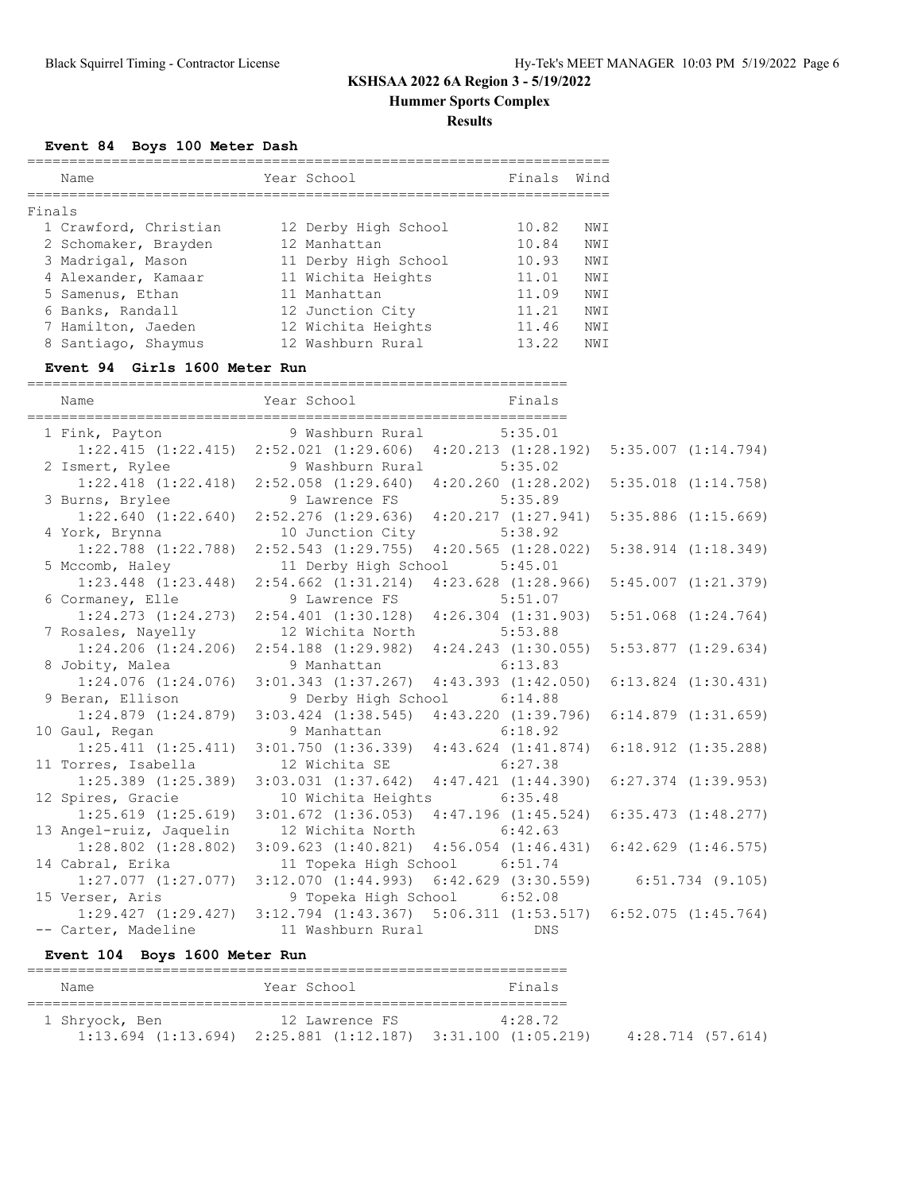**Hummer Sports Complex**

#### **Results**

**Event 84 Boys 100 Meter Dash**

|        | Name                  | Year School          | Finals | Wind |
|--------|-----------------------|----------------------|--------|------|
|        |                       |                      |        |      |
| Finals |                       |                      |        |      |
|        | 1 Crawford, Christian | 12 Derby High School | 10.82  | NW T |
|        | 2 Schomaker, Brayden  | 12 Manhattan         | 10.84  | NWI  |
|        | 3 Madrigal, Mason     | 11 Derby High School | 10.93  | NW T |
|        | 4 Alexander, Kamaar   | 11 Wichita Heights   | 11.01  | NWI  |
|        | 5 Samenus, Ethan      | 11 Manhattan         | 11.09  | NWI  |
|        | 6 Banks, Randall      | 12 Junction City     | 11.21  | NW T |
|        | 7 Hamilton, Jaeden    | 12 Wichita Heights   | 11.46  | NWI  |
|        | 8 Santiago, Shaymus   | 12 Washburn Rural    | 13.22  | NW T |

#### **Event 94 Girls 1600 Meter Run**

================================================================ Name **School** Tear School **Finals** ================================================================ 1 Fink, Payton 9 Washburn Rural 5:35.01 1:22.415 (1:22.415) 2:52.021 (1:29.606) 4:20.213 (1:28.192) 5:35.007 (1:14.794) 2 Ismert, Rylee 9 Washburn Rural 5:35.02 1:22.418 (1:22.418) 2:52.058 (1:29.640) 4:20.260 (1:28.202) 5:35.018 (1:14.758) 3 Burns, Brylee 9 Lawrence FS 5:35.89 1:22.640 (1:22.640) 2:52.276 (1:29.636) 4:20.217 (1:27.941) 5:35.886 (1:15.669)<br>4 York, Brynna 10 Junction City 5:38.92 4 York, Brynna 10 Junction City 5:38.92 1:22.788 (1:22.788) 2:52.543 (1:29.755) 4:20.565 (1:28.022) 5:38.914 (1:18.349) 5 Mccomb, Haley 11 Derby High School 5:45.01 1:23.448 (1:23.448) 2:54.662 (1:31.214) 4:23.628 (1:28.966) 5:45.007 (1:21.379) 6 Cormaney, Elle 9 Lawrence FS 5:51.07 1:24.273 (1:24.273) 2:54.401 (1:30.128) 4:26.304 (1:31.903) 5:51.068 (1:24.764) 7 Rosales, Nayelly 12 Wichita North 5:53.88 1:24.206 (1:24.206) 2:54.188 (1:29.982) 4:24.243 (1:30.055) 5:53.877 (1:29.634) 8 Jobity, Malea 9 Manhattan 6:13.83 1:24.076 (1:24.076) 3:01.343 (1:37.267) 4:43.393 (1:42.050) 6:13.824 (1:30.431) 9 Beran, Ellison 9 Derby High School 6:14.88 1:24.879 (1:24.879) 3:03.424 (1:38.545) 4:43.220 (1:39.796) 6:14.879 (1:31.659) 10 Gaul, Regan 9 Manhattan 6:18.92 1:25.411 (1:25.411) 3:01.750 (1:36.339) 4:43.624 (1:41.874) 6:18.912 (1:35.288) 11 Torres, Isabella 12 Wichita SE 6:27.38 1:25.389 (1:25.389) 3:03.031 (1:37.642) 4:47.421 (1:44.390) 6:27.374 (1:39.953) 12 Spires, Gracie 10 Wichita Heights 6:35.48 1:25.619 (1:25.619) 3:01.672 (1:36.053) 4:47.196 (1:45.524) 6:35.473 (1:48.277) 13 Angel-ruiz, Jaquelin 12 Wichita North 6:42.63 1:28.802 (1:28.802) 3:09.623 (1:40.821) 4:56.054 (1:46.431) 6:42.629 (1:46.575) 14 Cabral, Erika 11 Topeka High School 6:51.74 1:27.077 (1:27.077) 3:12.070 (1:44.993) 6:42.629 (3:30.559) 6:51.734 (9.105) 15 Verser, Aris 9 Topeka High School 6:52.08 1:29.427 (1:29.427) 3:12.794 (1:43.367) 5:06.311 (1:53.517) 6:52.075 (1:45.764) -- Carter, Madeline 11 Washburn Rural DNS

#### **Event 104 Boys 1600 Meter Run**

| Name           | Year School                                                             | Finals  |                   |
|----------------|-------------------------------------------------------------------------|---------|-------------------|
| 1 Shryock, Ben | 12 Lawrence FS                                                          | 4:28.72 |                   |
|                | $1:13.694$ $(1:13.694)$ $2:25.881$ $(1:12.187)$ $3:31.100$ $(1:05.219)$ |         | 4:28.714 (57.614) |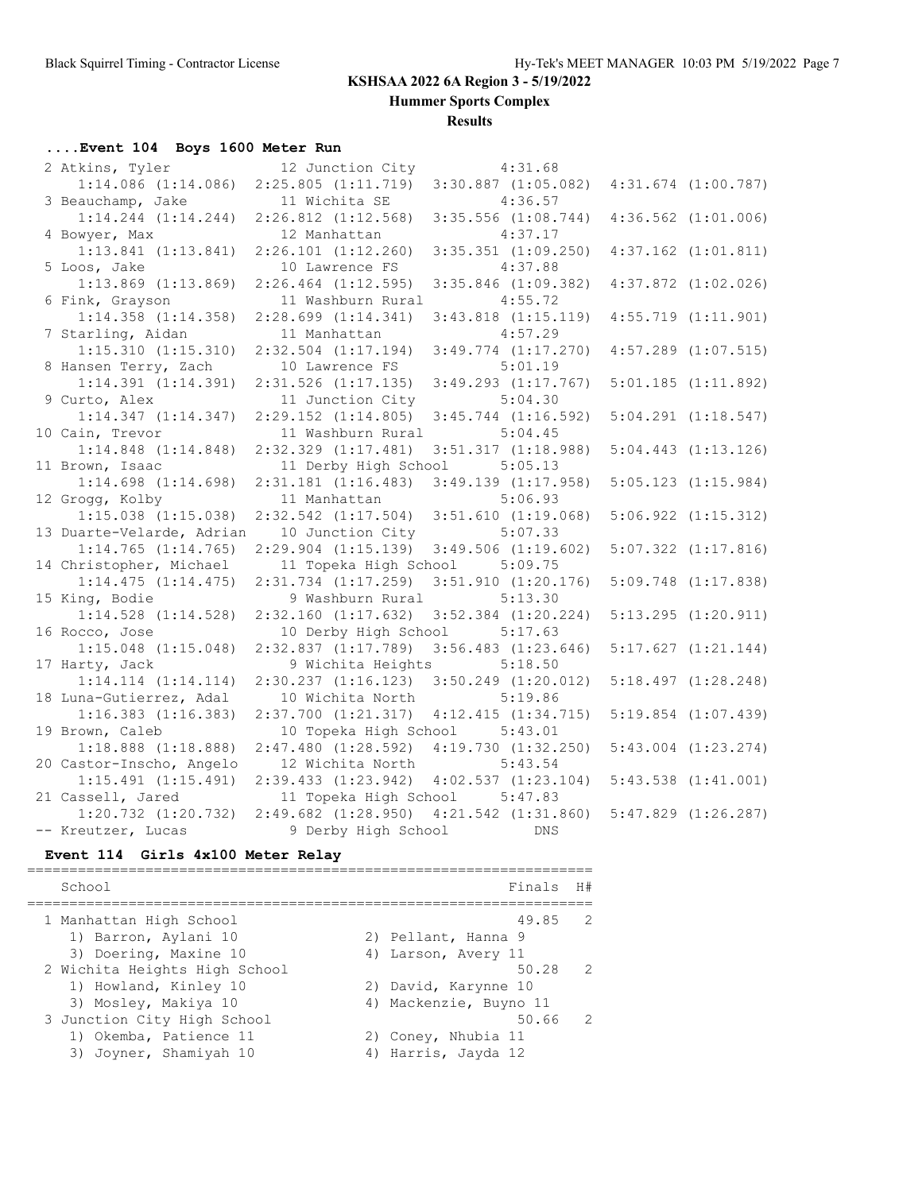**Hummer Sports Complex**

### **Results**

## **....Event 104 Boys 1600 Meter Run**

| 2 Atkins, Tyler           | 12 Junction City                                | 4:31.68                 |                         |
|---------------------------|-------------------------------------------------|-------------------------|-------------------------|
| $1:14.086$ $(1:14.086)$   | $2:25.805$ $(1:11.719)$                         | $3:30.887$ $(1:05.082)$ | $4:31.674$ $(1:00.787)$ |
| 3 Beauchamp, Jake         | 11 Wichita SE                                   | 4:36.57                 |                         |
| $1:14.244$ $(1:14.244)$   | $2:26.812$ $(1:12.568)$                         | $3:35.556$ $(1:08.744)$ | $4:36.562$ $(1:01.006)$ |
| 4 Bowyer, Max             | 12 Manhattan                                    | 4:37.17                 |                         |
| $1:13.841$ $(1:13.841)$   | $2:26.101$ $(1:12.260)$                         | $3:35.351$ $(1:09.250)$ | $4:37.162$ $(1:01.811)$ |
| 5 Loos, Jake              | 10 Lawrence FS                                  | 4:37.88                 |                         |
| $1:13.869$ $(1:13.869)$   | $2:26.464$ $(1:12.595)$                         | $3:35.846$ $(1:09.382)$ | $4:37.872$ $(1:02.026)$ |
| 6 Fink, Grayson           | 11 Washburn Rural                               | 4:55.72                 |                         |
| $1:14.358$ $(1:14.358)$   | $2:28.699$ $(1:14.341)$                         | $3:43.818$ $(1:15.119)$ | $4:55.719$ $(1:11.901)$ |
| 7 Starling, Aidan         | 11 Manhattan                                    | 4:57.29                 |                         |
| 1:15.310 (1:15.310)       | $2:32.504$ $(1:17.194)$                         | $3:49.774$ $(1:17.270)$ | $4:57.289$ $(1:07.515)$ |
| 8 Hansen Terry, Zach      | 10 Lawrence FS                                  | 5:01.19                 |                         |
| $1:14.391$ $(1:14.391)$   | $2:31.526$ $(1:17.135)$                         | $3:49.293$ $(1:17.767)$ | $5:01.185$ $(1:11.892)$ |
| 9 Curto, Alex             | 11 Junction City                                | 5:04.30                 |                         |
| $1:14.347$ $(1:14.347)$   | $2:29.152$ $(1:14.805)$                         | $3:45.744$ $(1:16.592)$ | $5:04.291$ $(1:18.547)$ |
| 10 Cain, Trevor           | 11 Washburn Rural                               | 5:04.45                 |                         |
| $1:14.848$ $(1:14.848)$   | $2:32.329$ $(1:17.481)$                         | $3:51.317$ $(1:18.988)$ | $5:04.443$ $(1:13.126)$ |
| 11 Brown, Isaac           | 11 Derby High School                            | 5:05.13                 |                         |
| $1:14.698$ $(1:14.698)$   | $2:31.181$ $(1:16.483)$                         | $3:49.139$ $(1:17.958)$ | $5:05.123$ $(1:15.984)$ |
| 12 Grogg, Kolby           | 11 Manhattan                                    | 5:06.93                 |                         |
| $1:15.038$ $(1:15.038)$   | $2:32.542$ $(1:17.504)$                         | $3:51.610$ $(1:19.068)$ | $5:06.922$ $(1:15.312)$ |
| 13 Duarte-Velarde, Adrian | 10 Junction City                                | 5:07.33                 |                         |
| $1:14.765$ $(1:14.765)$   | $2:29.904$ $(1:15.139)$                         | $3:49.506$ $(1:19.602)$ | $5:07.322$ $(1:17.816)$ |
| 14 Christopher, Michael   | 11 Topeka High School                           | 5:09.75                 |                         |
| 1:14.475(1:14.475)        | $2:31.734$ $(1:17.259)$                         | $3:51.910$ $(1:20.176)$ | $5:09.748$ $(1:17.838)$ |
| 15 King, Bodie            | 9 Washburn Rural                                | 5:13.30                 |                         |
| $1:14.528$ $(1:14.528)$   | $2:32.160$ $(1:17.632)$                         | $3:52.384$ $(1:20.224)$ | $5:13.295$ $(1:20.911)$ |
| 16 Rocco, Jose            | 10 Derby High School                            | 5:17.63                 |                         |
| $1:15.048$ $(1:15.048)$   | $2:32.837$ $(1:17.789)$                         | $3:56.483$ $(1:23.646)$ | 5:17.627(1:21.144)      |
| 17 Harty, Jack            | 9 Wichita Heights                               | 5:18.50                 |                         |
| $1:14.114$ $(1:14.114)$   | $2:30.237$ $(1:16.123)$ $3:50.249$ $(1:20.012)$ |                         | $5:18.497$ $(1:28.248)$ |
| 18 Luna-Gutierrez, Adal   | 10 Wichita North                                | 5:19.86                 |                         |
| $1:16.383$ $(1:16.383)$   | $2:37.700$ $(1:21.317)$                         | 4:12.415(1:34.715)      | $5:19.854$ $(1:07.439)$ |
| 19 Brown, Caleb           | 10 Topeka High School                           | 5:43.01                 |                         |
| $1:18.888$ $(1:18.888)$   | 2:47.480(1:28.592)                              | $4:19.730$ $(1:32.250)$ | $5:43.004$ $(1:23.274)$ |
| 20 Castor-Inscho, Angelo  | 12 Wichita North                                | 5:43.54                 |                         |
| $1:15.491$ $(1:15.491)$   | 2:39.433(1:23.942)                              | 4:02.537(1:23.104)      | $5:43.538$ $(1:41.001)$ |
| 21 Cassell, Jared         | 11 Topeka High School                           | 5:47.83                 |                         |
| $1:20.732$ $(1:20.732)$   | $2:49.682$ $(1:28.950)$ $4:21.542$ $(1:31.860)$ |                         | $5:47.829$ $(1:26.287)$ |
| -- Kreutzer, Lucas        | 9 Derby High School                             | DNS                     |                         |

### **Event 114 Girls 4x100 Meter Relay**

| School                                                                                                  | Finals H#                                                                     |                |
|---------------------------------------------------------------------------------------------------------|-------------------------------------------------------------------------------|----------------|
| 1 Manhattan High School<br>1) Barron, Aylani 10                                                         | 49.85<br>2) Pellant, Hanna 9                                                  | $\overline{2}$ |
| 3) Doering, Maxine 10<br>2 Wichita Heights High School<br>1) Howland, Kinley 10                         | 4) Larson, Avery 11<br>50.28<br>2) David, Karynne 10                          | $\overline{2}$ |
| 3) Mosley, Makiya 10<br>3 Junction City High School<br>1) Okemba, Patience 11<br>3) Joyner, Shamiyah 10 | 4) Mackenzie, Buyno 11<br>50.66<br>2) Coney, Nhubia 11<br>4) Harris, Jayda 12 | $\overline{2}$ |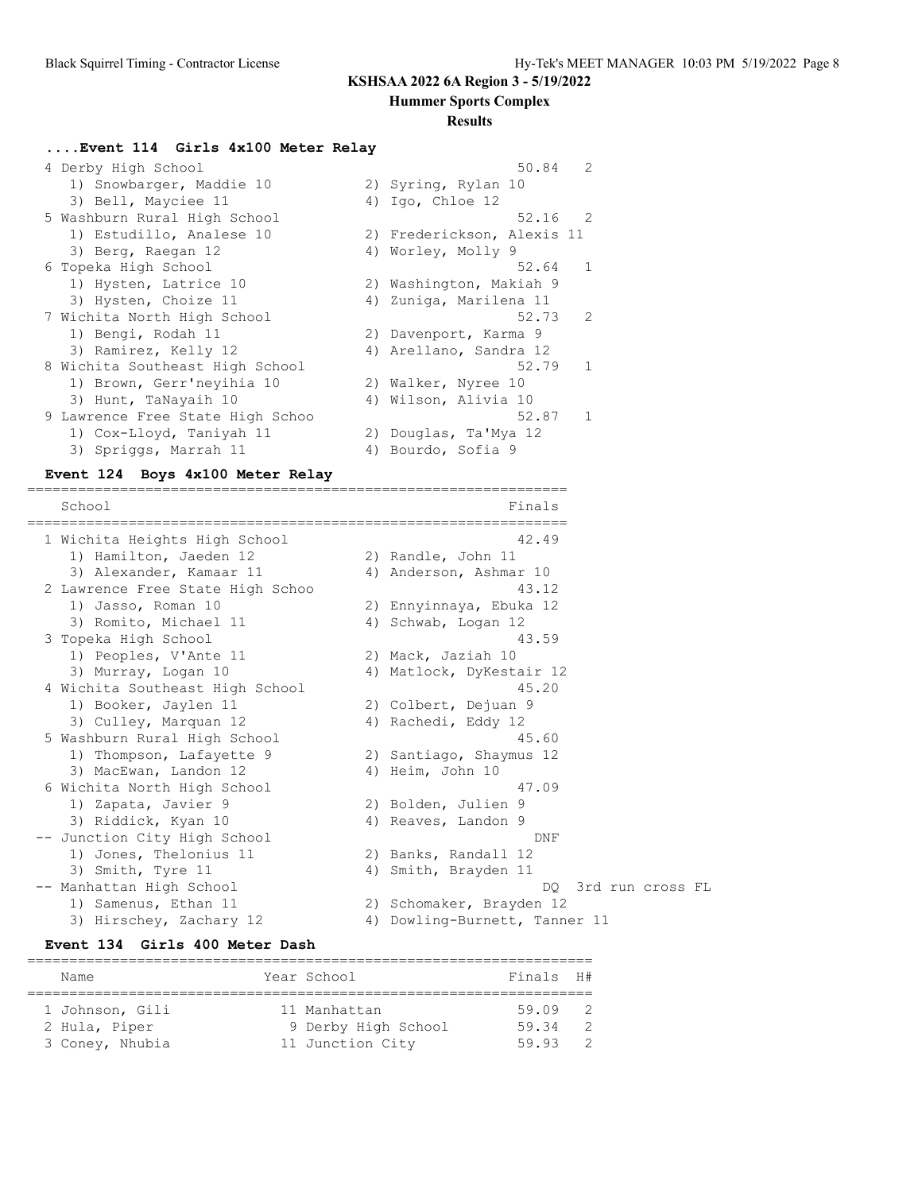**Hummer Sports Complex**

### **Results**

## **....Event 114 Girls 4x100 Meter Relay**

| 4 Derby High School              | 50.84                      | $\mathcal{L}$  |
|----------------------------------|----------------------------|----------------|
| 1) Snowbarger, Maddie 10         | 2) Syring, Rylan 10        |                |
| 3) Bell, Mayciee 11              | 4) Igo, Chloe $12$         |                |
| 5 Washburn Rural High School     |                            | $52.16$ 2      |
| 1) Estudillo, Analese 10         | 2) Frederickson, Alexis 11 |                |
| 3) Berg, Raegan 12               | 4) Worley, Molly 9         |                |
| 6 Topeka High School             | 52.64                      | $\overline{1}$ |
| 1) Hysten, Latrice 10            | 2) Washington, Makiah 9    |                |
| 3) Hysten, Choize 11             | 4) Zuniga, Marilena 11     |                |
| 7 Wichita North High School      | 52.73                      | 2              |
| 1) Bengi, Rodah 11               | 2) Davenport, Karma 9      |                |
| 3) Ramirez, Kelly 12             | 4) Arellano, Sandra 12     |                |
| 8 Wichita Southeast High School  | 52.79                      | $\mathbf{1}$   |
| 1) Brown, Gerr'neyihia 10        | 2) Walker, Nyree 10        |                |
| 3) Hunt, TaNayaih 10             | 4) Wilson, Alivia 10       |                |
| 9 Lawrence Free State High Schoo | 52.87                      | $\mathbf{1}$   |
| 1) Cox-Lloyd, Taniyah 11         | 2) Douglas, Ta'Mya 12      |                |
| 3) Spriggs, Marrah 11            | 4) Bourdo, Sofia 9         |                |

### **Event 124 Boys 4x100 Meter Relay**

================================================================

| School |                                  | Finals                        |
|--------|----------------------------------|-------------------------------|
|        | 1 Wichita Heights High School    | 42.49                         |
|        | 1) Hamilton, Jaeden 12           | 2) Randle, John 11            |
|        | 3) Alexander, Kamaar 11          | 4) Anderson, Ashmar 10        |
|        | 2 Lawrence Free State High Schoo | 43.12                         |
|        | 1) Jasso, Roman 10               | 2) Ennyinnaya, Ebuka 12       |
|        | 3) Romito, Michael 11            | 4) Schwab, Logan 12           |
|        | 3 Topeka High School             | 43.59                         |
|        | 1) Peoples, V'Ante 11            | 2) Mack, Jaziah 10            |
|        | 3) Murray, Logan 10              | 4) Matlock, DyKestair 12      |
|        | 4 Wichita Southeast High School  | 45.20                         |
|        | 1) Booker, Jaylen 11             | 2) Colbert, Dejuan 9          |
|        | 3) Culley, Marquan 12            | 4) Rachedi, Eddy 12           |
|        | 5 Washburn Rural High School     | 45.60                         |
|        | 1) Thompson, Lafayette 9         | 2) Santiago, Shaymus 12       |
|        | 3) MacEwan, Landon 12            | 4) Heim, John 10              |
|        | 6 Wichita North High School      | 47.09                         |
|        | 1) Zapata, Javier 9              | 2) Bolden, Julien 9           |
|        | 3) Riddick, Kyan 10              | 4) Reaves, Landon 9           |
|        | -- Junction City High School     | DNF                           |
|        | 1) Jones, Thelonius 11           | 2) Banks, Randall 12          |
|        | 3) Smith, Tyre 11                | 4) Smith, Brayden 11          |
|        | -- Manhattan High School         | 3rd run cross FL<br>DO.       |
|        | 1) Samenus, Ethan 11             | 2) Schomaker, Brayden 12      |
|        | 3) Hirschey, Zachary 12          | 4) Dowling-Burnett, Tanner 11 |

### **Event 134 Girls 400 Meter Dash**

| Name            | Year School         | Finals H# |                |
|-----------------|---------------------|-----------|----------------|
|                 |                     |           |                |
| 1 Johnson, Gili | 11 Manhattan        | 59.09 2   |                |
| 2 Hula, Piper   | 9 Derby High School | 59.34     | $\mathcal{L}$  |
| 3 Coney, Nhubia | 11 Junction City    | 59.93     | $\overline{2}$ |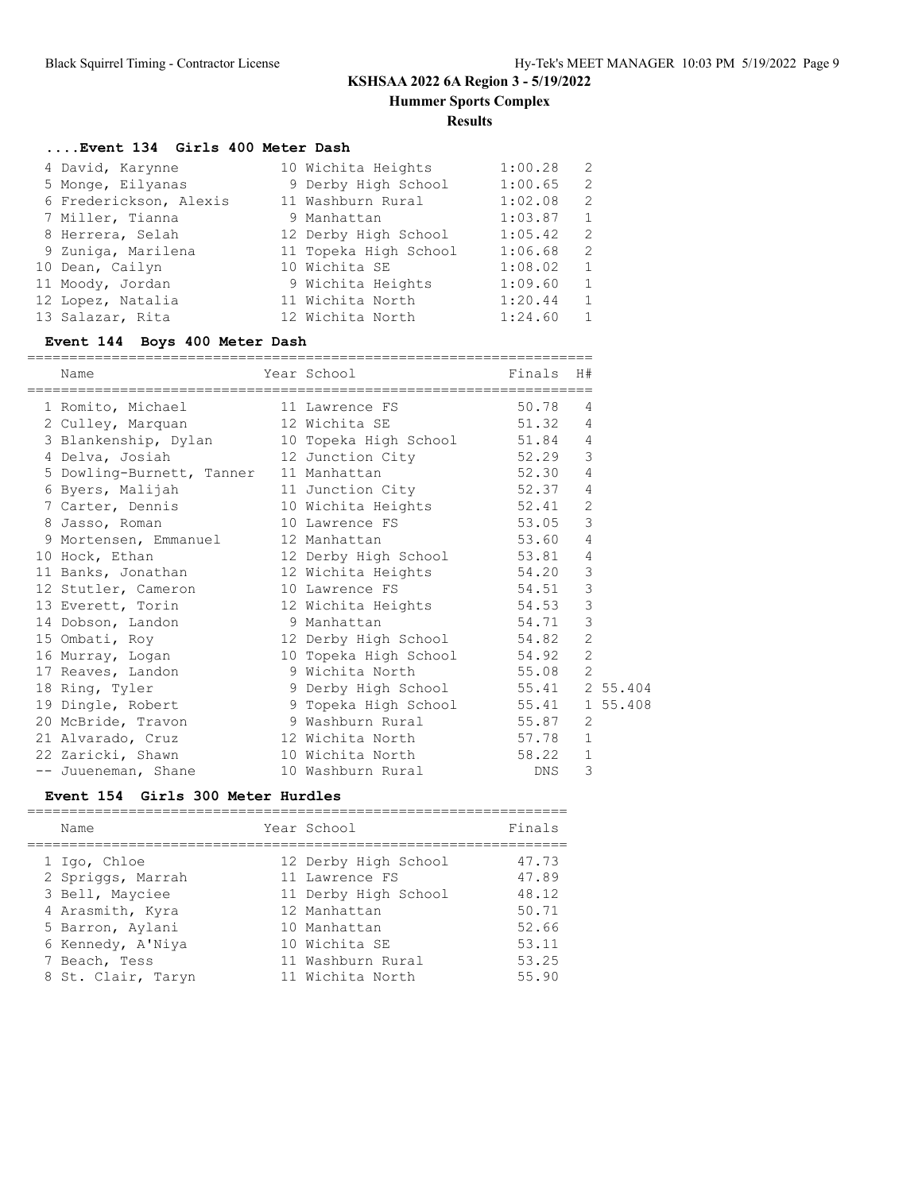**Hummer Sports Complex**

**Results**

## **....Event 134 Girls 400 Meter Dash**

| 4 David, Karynne       | 10 Wichita Heights    | 1:00.28 | - 2            |
|------------------------|-----------------------|---------|----------------|
| 5 Monge, Eilyanas      | 9 Derby High School   | 1:00.65 | -2             |
| 6 Frederickson, Alexis | 11 Washburn Rural     | 1:02.08 | 2              |
| 7 Miller, Tianna       | 9 Manhattan           | 1:03.87 | 1              |
| 8 Herrera, Selah       | 12 Derby High School  | 1:05.42 | -2             |
| 9 Zuniga, Marilena     | 11 Topeka High School | 1:06.68 | -2             |
| 10 Dean, Cailyn        | 10 Wichita SE         | 1:08.02 | $\mathbf{1}$   |
| 11 Moody, Jordan       | 9 Wichita Heights     | 1:09.60 | 1              |
| 12 Lopez, Natalia      | 11 Wichita North      | 1:20.44 | 1              |
| 13 Salazar, Rita       | 12 Wichita North      | 1:24.60 | $\overline{1}$ |

## **Event 144 Boys 400 Meter Dash**

| ===================<br>Name<br>===================== | Year School<br>------------------------------ | Finals H# |                |  |
|------------------------------------------------------|-----------------------------------------------|-----------|----------------|--|
| 1 Romito, Michael 11 Lawrence FS                     |                                               | 50.78     | 4              |  |
| 2 Culley, Marquan 12 Wichita SE 51.32                |                                               |           | 4              |  |
| 3 Blankenship, Dylan                                 | 10 Topeka High School 51.84                   |           | $\overline{4}$ |  |
| 4 Delva, Josiah                                      | 12 Junction City 52.29                        |           | 3              |  |
| 5 Dowling-Burnett, Tanner 11 Manhattan               |                                               | 52.30     | 4              |  |
| 6 Byers, Malijah                                     | 11 Junction City 52.37                        |           | 4              |  |
| 7 Carter, Dennis                                     | 10 Wichita Heights 52.41                      |           | $\overline{2}$ |  |
| 8 Jasso, Roman                                       | 10 Lawrence FS 53.05                          |           | $\mathcal{E}$  |  |
| 9 Mortensen, Emmanuel                                | 12 Manhattan                                  | 53.60     | $\overline{4}$ |  |
| 10 Hock, Ethan                                       | 12 Derby High School 53.81                    |           | 4              |  |
| 11 Banks, Jonathan                                   | 12 Wichita Heights 54.20                      |           | 3              |  |
| 12 Stutler, Cameron                                  | 10 Lawrence FS                                | 54.51     | 3              |  |
| 13 Everett, Torin                                    | 12 Wichita Heights 54.53                      |           | 3              |  |
| 14 Dobson, Landon 9 Manhattan                        |                                               | 54.71     | 3              |  |
| 15 Ombati, Roy                                       | 12 Derby High School 54.82                    |           | $\overline{2}$ |  |
| 16 Murray, Logan                                     | 10 Topeka High School 54.92                   |           | $\overline{c}$ |  |
| 17 Reaves, Landon                                    | 9 Wichita North 55.08                         |           | $\overline{2}$ |  |
| 18 Ring, Tyler                                       | 9 Derby High School 55.41 2 55.404            |           |                |  |
| 19 Dingle, Robert                                    | 9 Topeka High School 55.41 1 55.408           |           |                |  |
| 20 McBride, Travon 9 Washburn Rural 55.87            |                                               |           | 2              |  |
| 21 Alvarado, Cruz                                    | 12 Wichita North 57.78                        |           | $\mathbf{1}$   |  |
| 22 Zaricki, Shawn                                    | 10 Wichita North 58.22                        |           | 1              |  |
| -- Juueneman, Shane                                  | 10 Washburn Rural NDNS                        |           | 3              |  |

### **Event 154 Girls 300 Meter Hurdles**

| Year School<br>Name                     | Finals |
|-----------------------------------------|--------|
| 12 Derby High School<br>1 Igo, Chloe    | 47.73  |
| 2 Spriggs, Marrah<br>11 Lawrence FS     | 47.89  |
| 3 Bell, Mayciee<br>11 Derby High School | 48.12  |
| 4 Arasmith, Kyra<br>12 Manhattan        | 50.71  |
| 5 Barron, Aylani<br>10 Manhattan        | 52.66  |
| 10 Wichita SE<br>6 Kennedy, A'Niya      | 53.11  |
| 11 Washburn Rural<br>7 Beach, Tess      | 53.25  |
| 8 St. Clair, Taryn<br>11 Wichita North  | 55.90  |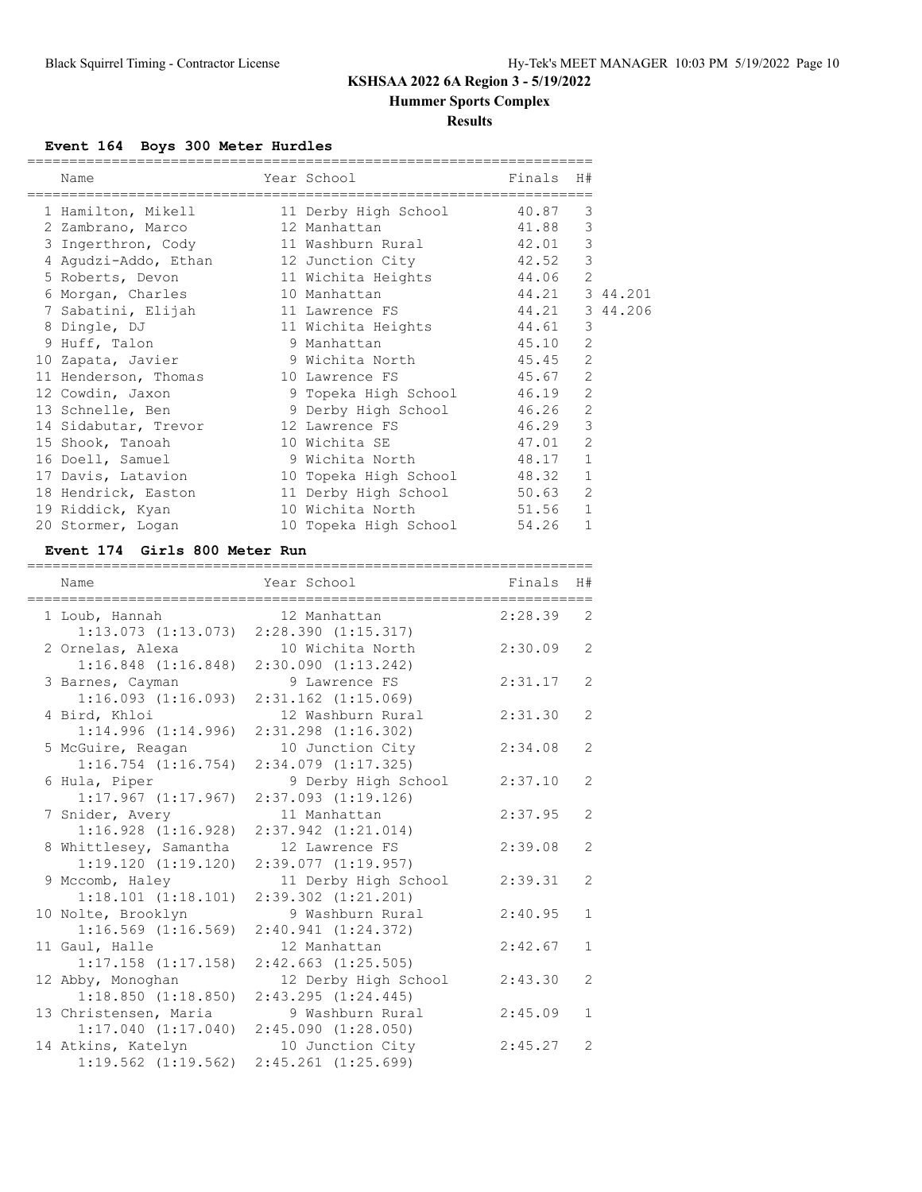**Hummer Sports Complex**

### **Results**

## **Event 164 Boys 300 Meter Hurdles**

| Name                                          | Year School                 | Finals         | H#             |  |
|-----------------------------------------------|-----------------------------|----------------|----------------|--|
| 1 Hamilton, Mikell                            | 11 Derby High School        | 40.87          | 3              |  |
| 2 Zambrano, Marco                             | 12 Manhattan                | 41.88          | 3              |  |
| 3 Ingerthron, Cody                            | 11 Washburn Rural 42.01     |                | 3              |  |
| 4 Aqudzi-Addo, Ethan                          | 12 Junction City 42.52      |                | 3              |  |
| 5 Roberts, Devon                              | 11 Wichita Heights          | 44.06          | $\overline{2}$ |  |
| 6 Morgan, Charles                             | 10 Manhattan                | 44.21 3 44.201 |                |  |
| 7 Sabatini, Elijah                            | 11 Lawrence FS              | 44.21 3 44.206 |                |  |
| 8 Dingle, DJ                                  | 11 Wichita Heights          | 44.61          | 3              |  |
| 9 Huff, Talon                                 | 9 Manhattan                 | 45.10          | $\overline{2}$ |  |
| 10 Zapata, Javier                             | 9 Wichita North             | 45.45          | $\overline{2}$ |  |
| 11 Henderson, Thomas                          | 45.67<br>10 Lawrence FS     |                | $\mathfrak{D}$ |  |
| 12 Cowdin, Jaxon 3 9 Topeka High School 46.19 |                             |                | $\overline{2}$ |  |
| 13 Schnelle, Ben                              | 9 Derby High School         | 46.26          | $\overline{2}$ |  |
| 14 Sidabutar, Trevor                          | 12 Lawrence FS              | 46.29          | 3              |  |
| 15 Shook, Tanoah                              | 10 Wichita SE               | 47.01          | $\overline{2}$ |  |
| 16 Doell, Samuel                              | 9 Wichita North             | 48.17          | $\mathbf{1}$   |  |
| 17 Davis, Latavion                            | 10 Topeka High School       | 48.32          | $\mathbf{1}$   |  |
| 18 Hendrick, Easton                           | 11 Derby High School 50.63  |                | 2              |  |
| 19 Riddick, Kyan                              | 10 Wichita North 51.56      |                | $\mathbf{1}$   |  |
| 20 Stormer, Logan                             | 10 Topeka High School 54.26 |                | 1              |  |

### **Event 174 Girls 800 Meter Run**

| =================<br>Name<br>====================================== | Year School<br>-------------------------------- | ==========================<br>Finals | H#             |
|---------------------------------------------------------------------|-------------------------------------------------|--------------------------------------|----------------|
| 1 Loub, Hannah                                                      | 12 Manhattan                                    | 2:28.39                              | 2              |
| $1:13.073$ $(1:13.073)$                                             | 2:28.390(1:15.317)                              |                                      |                |
| 2 Ornelas, Alexa                                                    | 10 Wichita North                                | 2:30.09                              | $\overline{2}$ |
| $1:16.848$ $(1:16.848)$                                             | 2:30.090(1:13.242)                              |                                      |                |
| 3 Barnes, Cayman                                                    | 9 Lawrence FS                                   | 2:31.17                              | $\overline{2}$ |
| 1:16.093(1:16.093)                                                  | $2:31.162$ $(1:15.069)$                         |                                      |                |
| 4 Bird, Khloi                                                       | 12 Washburn Rural                               | 2:31.30                              | $\overline{2}$ |
| 1:14.996(1:14.996)                                                  | $2:31.298$ $(1:16.302)$                         |                                      |                |
| 5 McGuire, Reagan                                                   | 10 Junction City                                | 2:34.08                              | $\overline{2}$ |
| $1:16.754$ $(1:16.754)$                                             | 2:34.079 (1:17.325)                             |                                      |                |
| 6 Hula, Piper                                                       | 9 Derby High School                             | 2:37.10                              | $\overline{2}$ |
| 1:17.967(1:17.967)                                                  | $2:37.093$ $(1:19.126)$                         |                                      |                |
| 7 Snider, Avery                                                     | 11 Manhattan                                    | 2:37.95                              | $\overline{2}$ |
| $1:16.928$ $(1:16.928)$                                             | $2:37.942$ $(1:21.014)$                         |                                      |                |
| 8 Whittlesey, Samantha                                              | 12 Lawrence FS                                  | 2:39.08                              | $\overline{2}$ |
| 1:19.120(1:19.120)                                                  | $2:39.077$ $(1:19.957)$                         |                                      |                |
| 9 Mccomb, Haley                                                     | 11 Derby High School                            | 2:39.31                              | 2              |
| $1:18.101$ $(1:18.101)$                                             | $2:39.302$ $(1:21.201)$                         |                                      |                |
| 10 Nolte, Brooklyn                                                  | 9 Washburn Rural                                | 2:40.95                              | $\mathbf{1}$   |
| $1:16.569$ $(1:16.569)$                                             | $2:40.941$ $(1:24.372)$                         |                                      |                |
| 11 Gaul, Halle                                                      | 12 Manhattan                                    | 2:42.67                              | $\mathbf{1}$   |
| $1:17.158$ $(1:17.158)$                                             | $2:42.663$ $(1:25.505)$                         |                                      |                |
| 12 Abby, Monoghan                                                   | 12 Derby High School                            | 2:43.30                              | $\overline{2}$ |
| 1:18.850(1:18.850)                                                  | $2:43.295$ $(1:24.445)$                         |                                      |                |
| 13 Christensen, Maria                                               | 9 Washburn Rural                                | 2:45.09                              | $\mathbf{1}$   |
| 1:17.040(1:17.040)                                                  | 2:45.090(1:28.050)                              |                                      |                |
| 14 Atkins, Katelyn                                                  | 10 Junction City                                | 2:45.27                              | $\mathcal{L}$  |
| $1:19.562$ $(1:19.562)$                                             | $2:45.261$ $(1:25.699)$                         |                                      |                |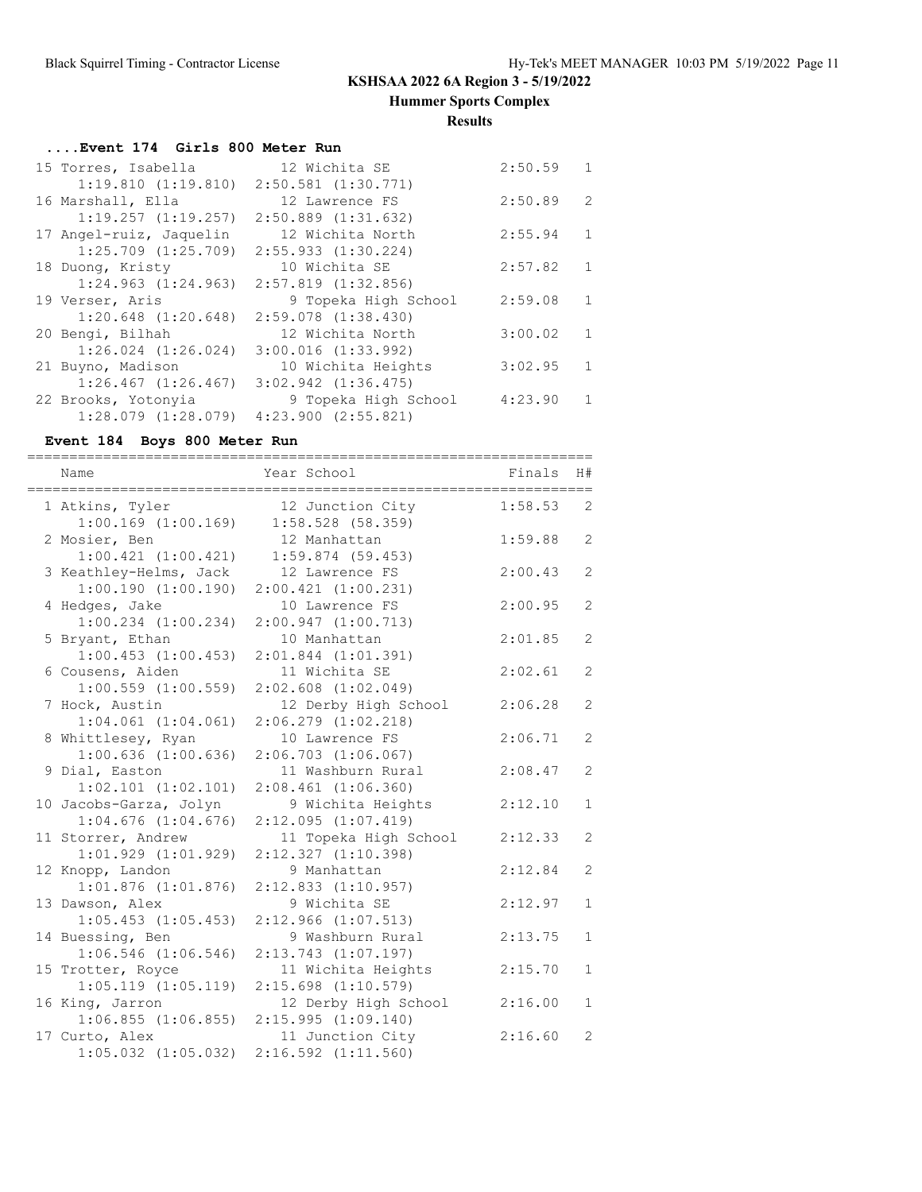**Hummer Sports Complex**

### **Results**

## **....Event 174 Girls 800 Meter Run**

| 15 Torres, Isabella     | 12 Wichita SE           | 2:50.59 | $\mathbf{1}$  |
|-------------------------|-------------------------|---------|---------------|
| 1:19.810(1:19.810)      | $2:50.581$ $(1:30.771)$ |         |               |
| 16 Marshall, Ella       | 12 Lawrence FS          | 2:50.89 | $\mathcal{L}$ |
| $1:19.257$ $(1:19.257)$ | $2:50.889$ $(1:31.632)$ |         |               |
| 17 Angel-ruiz, Jaquelin | 12 Wichita North        | 2:55.94 | $\mathbf{1}$  |
| $1:25.709$ $(1:25.709)$ | $2:55.933$ $(1:30.224)$ |         |               |
| 18 Duong, Kristy        | 10 Wichita SE           | 2:57.82 | $\mathbf{1}$  |
| $1:24.963$ $(1:24.963)$ | $2:57.819$ $(1:32.856)$ |         |               |
| 19 Verser, Aris         | 9 Topeka High School    | 2:59.08 | $\mathbf{1}$  |
| $1:20.648$ $(1:20.648)$ | $2:59.078$ $(1:38.430)$ |         |               |
| 20 Bengi, Bilhah        | 12 Wichita North        | 3:00.02 | $\mathbf{1}$  |
| $1:26.024$ $(1:26.024)$ | $3:00.016$ $(1:33.992)$ |         |               |
| 21 Buyno, Madison       | 10 Wichita Heights      | 3:02.95 | $\mathbf{1}$  |
| $1:26.467$ $(1:26.467)$ | $3:02.942$ $(1:36.475)$ |         |               |
| 22 Brooks, Yotonyia     | 9 Topeka High School    | 4:23.90 | 1             |
| $1:28.079$ $(1:28.079)$ | $4:23.900$ $(2:55.821)$ |         |               |

### **Event 184 Boys 800 Meter Run**

| Name<br>--------------------------------------    | Year School<br>__________________________       | Finals  | H#             |
|---------------------------------------------------|-------------------------------------------------|---------|----------------|
| 1 Atkins, Tyler<br>$1:00.169$ $(1:00.169)$        | 12 Junction City<br>1:58.528(58.359)            | 1:58.53 | 2              |
| 2 Mosier, Ben<br>1:00.421(1:00.421)               | 12 Manhattan<br>$1:59.874$ (59.453)             | 1:59.88 | $\overline{2}$ |
| 3 Keathley-Helms, Jack                            | 12 Lawrence FS                                  | 2:00.43 | 2              |
| 1:00.190(1:00.190)<br>4 Hedges, Jake              | $2:00.421$ $(1:00.231)$<br>10 Lawrence FS       | 2:00.95 | $\overline{2}$ |
| $1:00.234$ $(1:00.234)$<br>5 Bryant, Ethan        | 2:00.947(1:00.713)<br>10 Manhattan              | 2:01.85 | 2              |
| $1:00.453$ $(1:00.453)$<br>6 Cousens, Aiden       | $2:01.844$ $(1:01.391)$<br>11 Wichita SE        | 2:02.61 | 2              |
| $1:00.559$ $(1:00.559)$<br>7 Hock, Austin         | $2:02.608$ $(1:02.049)$<br>12 Derby High School | 2:06.28 | 2              |
| $1:04.061$ $(1:04.061)$<br>8 Whittlesey, Ryan     | 2:06.279 (1:02.218)<br>10 Lawrence FS           | 2:06.71 | 2              |
| $1:00.636$ $(1:00.636)$<br>9 Dial, Easton         | $2:06.703$ $(1:06.067)$<br>11 Washburn Rural    | 2:08.47 | 2              |
| $1:02.101$ $(1:02.101)$<br>10 Jacobs-Garza, Jolyn | $2:08.461$ $(1:06.360)$<br>9 Wichita Heights    | 2:12.10 | 1              |
| $1:04.676$ $(1:04.676)$<br>11 Storrer, Andrew     | 2:12.095(1:07.419)<br>11 Topeka High School     | 2:12.33 | 2              |
| $1:01.929$ $(1:01.929)$<br>12 Knopp, Landon       | $2:12.327$ $(1:10.398)$<br>9 Manhattan          | 2:12.84 | 2              |
| $1:01.876$ $(1:01.876)$<br>13 Dawson, Alex        | $2:12.833$ $(1:10.957)$<br>9 Wichita SE         | 2:12.97 | $\mathbf{1}$   |
| $1:05.453$ $(1:05.453)$<br>14 Buessing, Ben       | 2:12.966 (1:07.513)<br>9 Washburn Rural         | 2:13.75 | 1              |
| $1:06.546$ $(1:06.546)$<br>15 Trotter, Royce      | 2:13.743 (1:07.197)<br>11 Wichita Heights       | 2:15.70 | $\mathbf{1}$   |
| $1:05.119$ $(1:05.119)$                           | $2:15.698$ $(1:10.579)$                         |         |                |
| 16 King, Jarron<br>$1:06.855$ $(1:06.855)$        | 12 Derby High School<br>2:15.995(1:09.140)      | 2:16.00 | 1              |
| 17 Curto, Alex<br>$1:05.032$ $(1:05.032)$         | 11 Junction City<br>$2:16.592$ $(1:11.560)$     | 2:16.60 | 2              |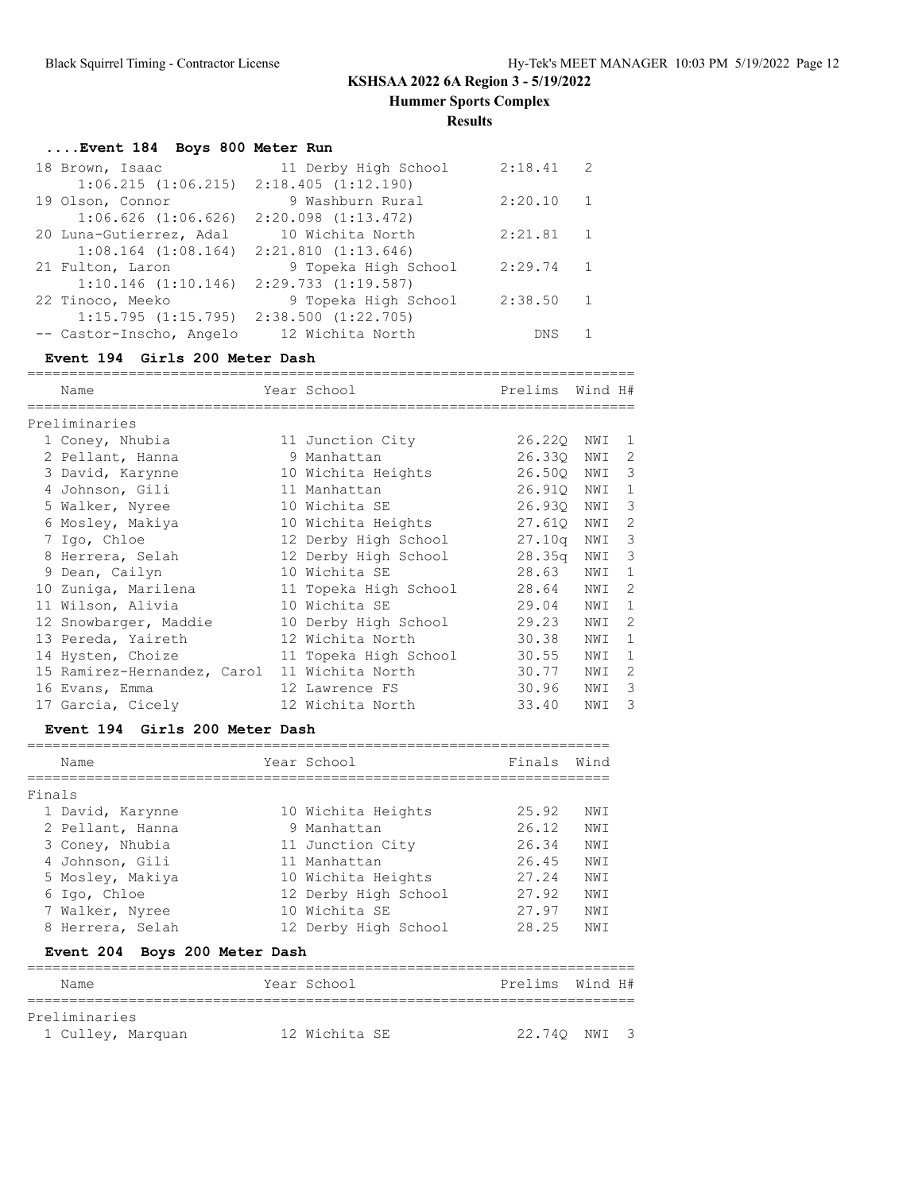**Hummer Sports Complex**

**Results**

# **....Event 184 Boys 800 Meter Run**

| 18 Brown, Isaac                                 | 11 Derby High School    | 2:18.41 | - 2            |
|-------------------------------------------------|-------------------------|---------|----------------|
| $1:06.215$ $(1:06.215)$ $2:18.405$ $(1:12.190)$ |                         |         |                |
| 19 Olson, Connor                                | 9 Washburn Rural        | 2:20.10 | $\overline{1}$ |
| $1:06.626$ $(1:06.626)$                         | $2:20.098$ $(1:13.472)$ |         |                |
| 20 Luna-Gutierrez, Adal                         | 10 Wichita North        | 2:21.81 | $\overline{1}$ |
| $1:08.164$ $(1:08.164)$ $2:21.810$ $(1:13.646)$ |                         |         |                |
| 21 Fulton, Laron                                | 9 Topeka High School    | 2:29.74 | $\overline{1}$ |
| $1:10.146$ $(1:10.146)$ $2:29.733$ $(1:19.587)$ |                         |         |                |
| 22 Tinoco, Meeko                                | 9 Topeka High School    | 2:38.50 | $\overline{1}$ |
| $1:15.795$ $(1:15.795)$ $2:38.500$ $(1:22.705)$ |                         |         |                |
| -- Castor-Inscho, Angelo                        | 12 Wichita North        | DNS     |                |

### **Event 194 Girls 200 Meter Dash**

| Name                        | Year School           | Prelims Wind H#    |     |                |
|-----------------------------|-----------------------|--------------------|-----|----------------|
| Preliminaries               |                       |                    |     |                |
| 1 Coney, Nhubia             | 11 Junction City      | 26.220             | NWI | -1             |
| 2 Pellant, Hanna            | 9 Manhattan           | 26.330             | NWI | 2              |
| 3 David, Karynne            | 10 Wichita Heights    | 26.500             | NWI | 3              |
| 4 Johnson, Gili             | 11 Manhattan          | 26.910             | NWI | 1              |
| 5 Walker, Nyree             | 10 Wichita SE         | 26.930             | NWI | 3              |
| 6 Mosley, Makiya            | 10 Wichita Heights    | 27.610             | NWI | 2              |
| 7 Igo, Chloe                | 12 Derby High School  | 27.10q             | NWI | 3              |
| 8 Herrera, Selah            | 12 Derby High School  | 28.35 <sub>q</sub> | NWI | 3              |
| 9 Dean, Cailyn              | 10 Wichita SE         | 28.63              | NWI | 1              |
| 10 Zuniga, Marilena         | 11 Topeka High School | 28.64              | NWI | 2              |
| 11 Wilson, Alivia           | 10 Wichita SE         | 29.04              | NWI | $\mathbf{1}$   |
| 12 Snowbarger, Maddie       | 10 Derby High School  | 29.23              | NWI | $\overline{2}$ |
| 13 Pereda, Yaireth          | 12 Wichita North      | 30.38              | NWI | $\mathbf{1}$   |
| 14 Hysten, Choize           | 11 Topeka High School | 30.55              | NWI | $\mathbf{1}$   |
| 15 Ramirez-Hernandez, Carol | 11 Wichita North      | 30.77              | NWI | 2              |
| 16 Evans, Emma              | 12 Lawrence FS        | 30.96              | NWI | 3              |
| 17 Garcia, Cicely           | 12 Wichita North      | 33.40              | NWI | 3              |

### **Event 194 Girls 200 Meter Dash**

|  | 25.92                                                                                                                                                                                                                                                                                                            | NWI                                                                                                             |
|--|------------------------------------------------------------------------------------------------------------------------------------------------------------------------------------------------------------------------------------------------------------------------------------------------------------------|-----------------------------------------------------------------------------------------------------------------|
|  | 26.12                                                                                                                                                                                                                                                                                                            | NWI                                                                                                             |
|  | 26.34                                                                                                                                                                                                                                                                                                            | NWI                                                                                                             |
|  | 26.45                                                                                                                                                                                                                                                                                                            | NWI                                                                                                             |
|  | 27.24                                                                                                                                                                                                                                                                                                            | NWI                                                                                                             |
|  | 27.92                                                                                                                                                                                                                                                                                                            | NWI                                                                                                             |
|  | 27.97                                                                                                                                                                                                                                                                                                            | NWI                                                                                                             |
|  | 28.25                                                                                                                                                                                                                                                                                                            | NWI                                                                                                             |
|  |                                                                                                                                                                                                                                                                                                                  |                                                                                                                 |
|  | 10 Wichita Heights<br>9 Manhattan<br>11 Junction City<br>11 Manhattan<br>10 Wichita Heights<br>12 Derby High School<br>10 Wichita SE<br>12 Derby High School<br>Event 204 Boys 200 Meter Dash<br>the contract of the contract of the contract of the contract of the contract of the contract of the contract of | the contract of the contract of the contract of the contract of the contract of the contract of the contract of |

#### Name Year School Prelims Wind H# ========================================================================

| Preliminaries |                   |               |  |              |  |
|---------------|-------------------|---------------|--|--------------|--|
|               | 1 Culley, Marquan | 12 Wichita SE |  | 22.740 NWI 3 |  |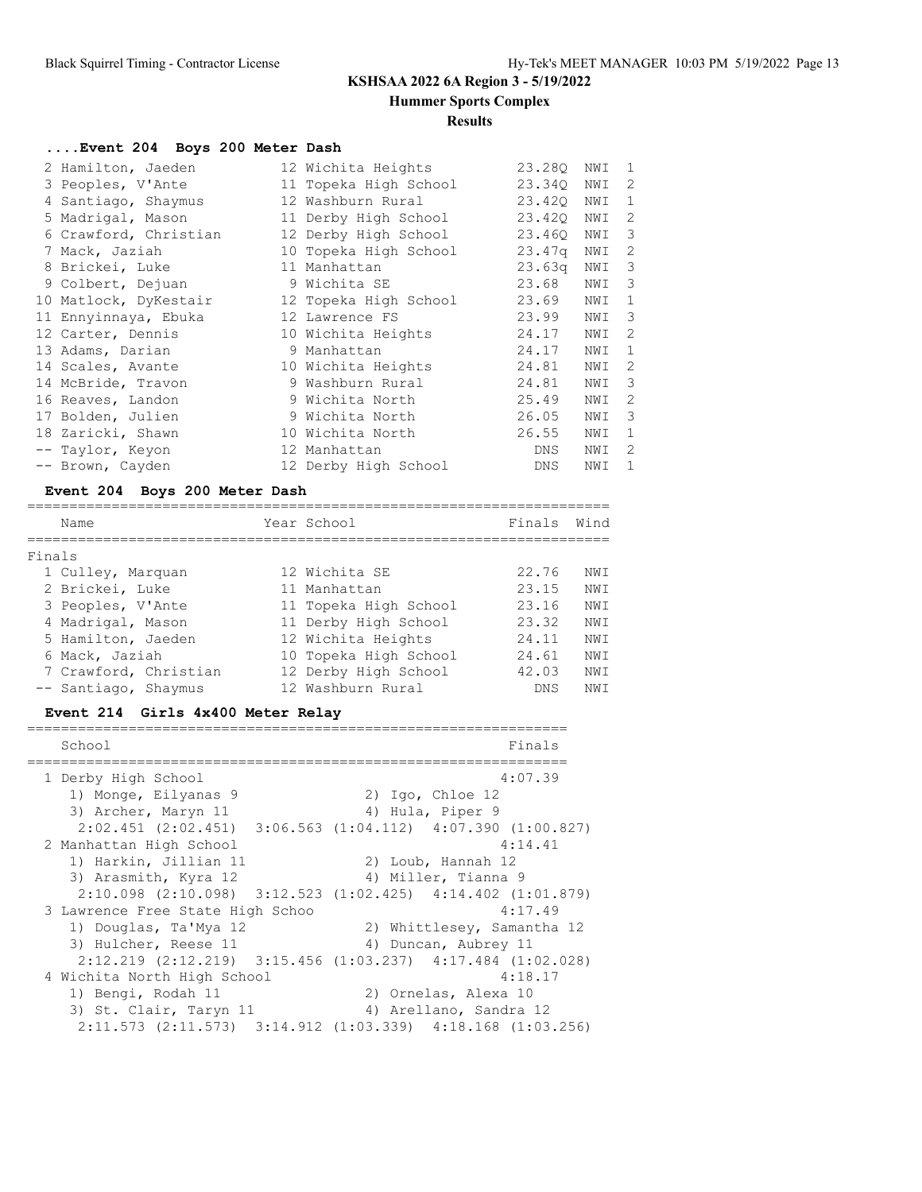================================================================

**Hummer Sports Complex**

#### **Results**

# **....Event 204 Boys 200 Meter Dash**

| 2 Hamilton, Jaeden    | 12 Wichita Heights    | 23.280             | NWI | 1             |
|-----------------------|-----------------------|--------------------|-----|---------------|
| 3 Peoples, V'Ante     | 11 Topeka High School | 23.340             | NWI | 2             |
| 4 Santiago, Shaymus   | 12 Washburn Rural     | 23.420             | NWI | $\mathbf{1}$  |
| 5 Madrigal, Mason     | 11 Derby High School  | 23.420             | NWI | 2             |
| 6 Crawford, Christian | 12 Derby High School  | 23.460             | NWI | 3             |
| 7 Mack, Jaziah        | 10 Topeka High School | 23.47 <sub>q</sub> | NWI | 2             |
| 8 Brickei, Luke       | 11 Manhattan          | 23.63 <sub>q</sub> | NWI | 3             |
| 9 Colbert, Dejuan     | 9 Wichita SE          | 23.68              | NWI | 3             |
| 10 Matlock, DyKestair | 12 Topeka High School | 23.69              | NWI | $\mathbf{1}$  |
| 11 Ennyinnaya, Ebuka  | 12 Lawrence FS        | 23.99              | NWI | 3             |
| 12 Carter, Dennis     | 10 Wichita Heights    | 24.17              | NWI | $\mathcal{L}$ |
| 13 Adams, Darian      | 9 Manhattan           | 24.17              | NWI | $\mathbf{1}$  |
| 14 Scales, Avante     | 10 Wichita Heights    | 24.81              | NWI | 2             |
| 14 McBride, Travon    | 9 Washburn Rural      | 24.81              | NWI | 3             |
| 16 Reaves, Landon     | 9 Wichita North       | 25.49              | NWI | 2             |
| 17 Bolden, Julien     | 9 Wichita North       | 26.05              | NWI | 3             |
| 18 Zaricki, Shawn     | 10 Wichita North      | 26.55              | NWI | 1             |
| -- Taylor, Keyon      | 12 Manhattan          | <b>DNS</b>         | NWI | 2             |
| -- Brown, Cayden      | 12 Derby High School  | DNS                | NWI | $\mathbf{1}$  |

### **Event 204 Boys 200 Meter Dash**

|        | Name                  | Year School           | Finals     | Wind |
|--------|-----------------------|-----------------------|------------|------|
| Finals |                       |                       |            |      |
|        | 1 Culley, Marquan     | 12 Wichita SE         | 22.76      | NW T |
|        | 2 Brickei, Luke       | 11 Manhattan          | 23.15      | NWI  |
|        | 3 Peoples, V'Ante     | 11 Topeka High School | 23.16      | NWI  |
|        | 4 Madrigal, Mason     | 11 Derby High School  | 23.32      | NW T |
|        | 5 Hamilton, Jaeden    | 12 Wichita Heights    | 24.11      | NWI  |
|        | 6 Mack, Jaziah        | 10 Topeka High School | 24.61      | NWI  |
|        | 7 Crawford, Christian | 12 Derby High School  | 42.03      | NWI  |
|        | -- Santiago, Shaymus  | 12 Washburn Rural     | <b>DNS</b> | NW T |

### **Event 214 Girls 4x400 Meter Relay**

| School                           | Finals                                                                  |
|----------------------------------|-------------------------------------------------------------------------|
| 1 Derby High School              | 4:07.39                                                                 |
| 1) Monge, Eilyanas 9             | $2)$ Igo, Chloe 12                                                      |
| 3) Archer, Maryn 11              | 4) Hula, Piper 9                                                        |
|                                  | $2:02.451$ (2:02.451) $3:06.563$ (1:04.112) $4:07.390$ (1:00.827)       |
| 2 Manhattan High School          | 4:14.41                                                                 |
| 1) Harkin, Jillian 11            | 2) Loub, Hannah 12                                                      |
| 3) Arasmith, Kyra 12             | 4) Miller, Tianna 9                                                     |
|                                  | $2:10.098$ $(2:10.098)$ $3:12.523$ $(1:02.425)$ $4:14.402$ $(1:01.879)$ |
| 3 Lawrence Free State High Schoo | 4:17.49                                                                 |
| 1) Douglas, Ta'Mya 12            | 2) Whittlesey, Samantha 12                                              |
| 3) Hulcher, Reese 11             | 4) Duncan, Aubrey 11                                                    |
|                                  | $2:12.219$ $(2:12.219)$ $3:15.456$ $(1:03.237)$ $4:17.484$ $(1:02.028)$ |
| 4 Wichita North High School      | 4:18.17                                                                 |
| 1) Bengi, Rodah 11               | 2) Ornelas, Alexa 10                                                    |
| 3) St. Clair, Taryn 11           | 4) Arellano, Sandra 12                                                  |
|                                  | 2:11.573 (2:11.573) 3:14.912 (1:03.339) 4:18.168 (1:03.256)             |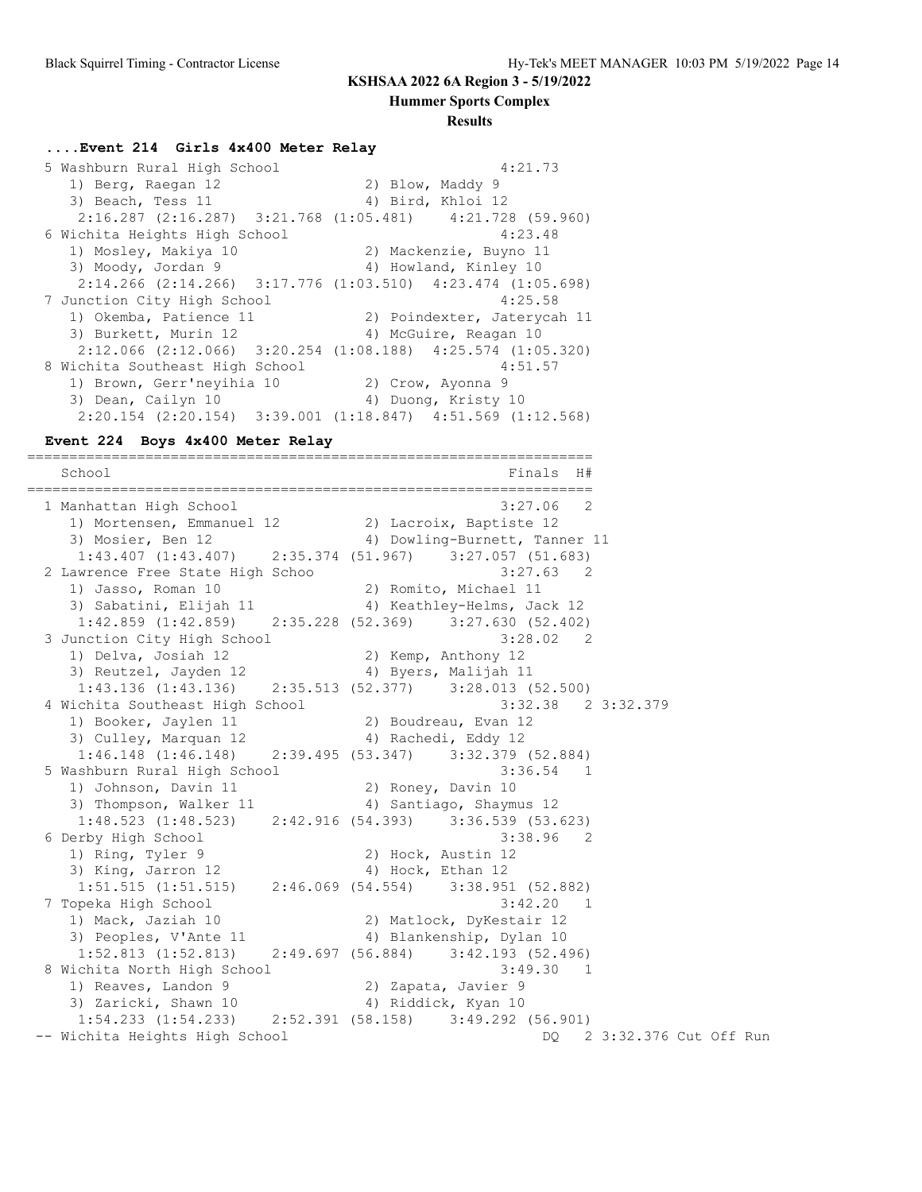**Hummer Sports Complex**

#### **Results**

#### **....Event 214 Girls 4x400 Meter Relay**

 5 Washburn Rural High School 4:21.73 1) Berg, Raegan 12 2) Blow, Maddy 9 3) Beach, Tess 11 4) Bird, Khloi 12 2:16.287 (2:16.287) 3:21.768 (1:05.481) 4:21.728 (59.960) 6 Wichita Heights High School 4:23.48 1) Mosley, Makiya 10 2) Mackenzie, Buyno 11 3) Moody, Jordan 9 4) Howland, Kinley 10 2:14.266 (2:14.266) 3:17.776 (1:03.510) 4:23.474 (1:05.698)<br>unction City High School 4:25.58 7 Junction City High School 4:25.58 1) Okemba, Patience 11 2) Poindexter, Jaterycah 11 3) Burkett, Murin 12 4) McGuire, Reagan 10 2:12.066 (2:12.066) 3:20.254 (1:08.188) 4:25.574 (1:05.320) 8 Wichita Southeast High School 4:51.57 1) Brown, Gerr'neyihia 10 2) Crow, Ayonna 9 3) Dean, Cailyn 10 10 10 4) Duong, Kristy 10 2:20.154 (2:20.154) 3:39.001 (1:18.847) 4:51.569 (1:12.568)

#### **Event 224 Boys 4x400 Meter Relay**

===================================================================  $S$  Finals H#

=================================================================== 1 Manhattan High School 3:27.06 2 1) Mortensen, Emmanuel 12 2) Lacroix, Baptiste 12 3) Mosier, Ben 12 4) Dowling-Burnett, Tanner 11 1:43.407 (1:43.407) 2:35.374 (51.967) 3:27.057 (51.683) 2 Lawrence Free State High Schoo 3:27.63 2 1) Jasso, Roman 10 2) Romito, Michael 11 3) Sabatini, Elijah 11 4) Keathley-Helms, Jack 12 1:42.859 (1:42.859) 2:35.228 (52.369) 3:27.630 (52.402) 3 Junction City High School 3:28.02 2 1) Delva, Josiah 12 2) Kemp, Anthony 12 3) Reutzel, Jayden 12 1940 Martis, Malijah 11 1:43.136 (1:43.136) 2:35.513 (52.377) 3:28.013 (52.500) 4 Wichita Southeast High School 3:32.38 2 3:32.379 1) Booker, Jaylen 11 2) Boudreau, Evan 12 3) Culley, Marquan 12 4) Rachedi, Eddy 12 1:46.148 (1:46.148) 2:39.495 (53.347) 3:32.379 (52.884) 5 Washburn Rural High School 3:36.54 1 1) Johnson, Davin 11 2) Roney, Davin 10 3) Thompson, Walker 11 4) Santiago, Shaymus 12 1:48.523 (1:48.523) 2:42.916 (54.393) 3:36.539 (53.623) 6 Derby High School 3:38.96 2 1) Ring, Tyler 9 2) Hock, Austin 12 3) King, Jarron 12 4) Hock, Ethan 12 1:51.515 (1:51.515) 2:46.069 (54.554) 3:38.951 (52.882) 7 Topeka High School 3:42.20 1 1) Mack, Jaziah 10 2) Matlock, DyKestair 12 3) Peoples, V'Ante 11 (4) Blankenship, Dylan 10 1:52.813 (1:52.813) 2:49.697 (56.884) 3:42.193 (52.496) 8 Wichita North High School 3:49.30 1 1) Reaves, Landon 9 2) Zapata, Javier 9 3) Zaricki, Shawn 10 (4) Riddick, Kyan 10 1:54.233 (1:54.233) 2:52.391 (58.158) 3:49.292 (56.901) -- Wichita Heights High School DQ 2 3:32.376 Cut Off Run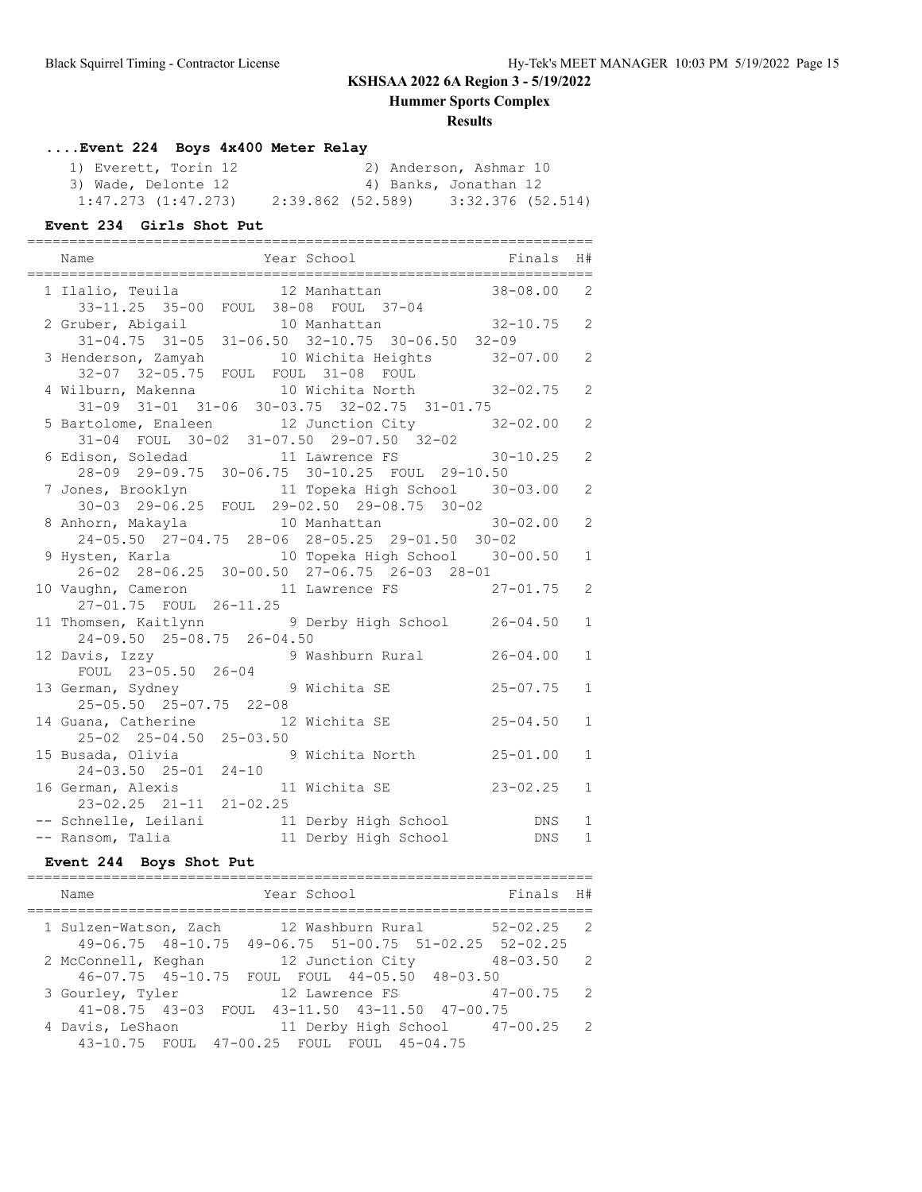**Hummer Sports Complex**

### **Results**

## **....Event 224 Boys 4x400 Meter Relay**

| 1) Everett, Torin 12    |                   | 2) Anderson, Ashmar 10 |
|-------------------------|-------------------|------------------------|
| 3) Wade, Delonte 12     |                   | 4) Banks, Jonathan 12  |
| $1:47.273$ $(1:47.273)$ | 2:39.862 (52.589) | 3:32.376 (52.514)      |

#### **Event 234 Girls Shot Put**

| Name<br>==============================                                                              | Year School Finals                                                                              | H#                           |
|-----------------------------------------------------------------------------------------------------|-------------------------------------------------------------------------------------------------|------------------------------|
| 33-11.25 35-00 FOUL 38-08 FOUL 37-04                                                                | 1 Ilalio, Teuila <sup>12</sup> Manhattan 38-08.00                                               | 2                            |
|                                                                                                     | 2 Gruber, Abigail 10 Manhattan 32-10.75<br>31-04.75 31-05 31-06.50 32-10.75 30-06.50 32-09      | 2                            |
| 32-07 32-05.75 FOUL FOUL 31-08 FOUL                                                                 | 3 Henderson, Zamyah 10 Wichita Heights 32-07.00                                                 | 2                            |
| 31-09 31-01 31-06 30-03.75 32-02.75 31-01.75                                                        | 4 Wilburn, Makenna 10 Wichita North 32-02.75                                                    | 2                            |
| 31-04 FOUL 30-02 31-07.50 29-07.50 32-02                                                            | 5 Bartolome, Enaleen 12 Junction City 32-02.00                                                  | 2                            |
| 28-09 29-09.75 30-06.75 30-10.25 FOUL 29-10.50                                                      | 6 Edison, Soledad 11 Lawrence FS 30-10.25                                                       | 2                            |
|                                                                                                     | 7 Jones, Brooklyn 11 Topeka High School 30-03.00<br>30-03 29-06.25 FOUL 29-02.50 29-08.75 30-02 | 2                            |
| 8 Anhorn, Makayla                   10 Manhattan<br>24-05.50 27-04.75 28-06 28-05.25 29-01.50 30-02 | $30 - 02.00$                                                                                    | 2                            |
| 26-02 28-06.25 30-00.50 27-06.75 26-03 28-01                                                        | 9 Hysten, Karla (10 Topeka High School 30-00.50                                                 | $\mathbf{1}$                 |
| 10 Vaughn, Cameron<br>27-01.75 FOUL 26-11.25                                                        | 11 Lawrence FS 27-01.75                                                                         | $\overline{2}$               |
| 24-09.50 25-08.75 26-04.50                                                                          | 11 Thomsen, Kaitlynn and 9 Derby High School 26-04.50                                           | $\mathbf{1}$                 |
| 12 Davis, Izzy<br>FOUL 23-05.50 26-04                                                               | 9 Washburn Rural 26-04.00                                                                       | $\mathbf{1}$                 |
| 13 German, Sydney 13 Wichita SE<br>25-05.50 25-07.75 22-08                                          | $25 - 07.75$                                                                                    | $\mathbf{1}$                 |
| 14 Guana, Catherine 12 Wichita SE<br>25-02 25-04.50 25-03.50                                        | $25 - 04.50$                                                                                    | $\mathbf{1}$                 |
|                                                                                                     | 15 Busada, Olivia 9 Wichita North 25-01.00<br>24-03.50 25-01 24-10                              | $\mathbf{1}$                 |
|                                                                                                     | 16 German, Alexis 11 Wichita SE 23-02.25<br>23-02.25 21-11 21-02.25                             | $\mathbf{1}$                 |
|                                                                                                     | DNS<br>DNS                                                                                      | $\mathbf{1}$<br>$\mathbf{1}$ |

### **Event 244 Boys Shot Put**

| Year School<br>Name                                                                                             | Finals H#      |                |
|-----------------------------------------------------------------------------------------------------------------|----------------|----------------|
| 12 Washburn Rural<br>1 Sulzen-Watson, Zach<br>$49-06.75$ $48-10.75$ $49-06.75$ $51-00.75$ $51-02.25$ $52-02.25$ | $52 - 02.25$ 2 |                |
| 12 Junction City<br>2 McConnell, Keghan<br>46-07.75 45-10.75 FOUL FOUL 44-05.50 48-03.50                        | $48 - 03.50$   | $\overline{2}$ |
| 3 Gourley, Tyler<br>12 Lawrence FS<br>41-08.75 43-03 FOUL 43-11.50 43-11.50 47-00.75                            | 47-00.75       | - 2            |
| 4 Davis, LeShaon<br>11 Derby High School 47-00.25<br>43-10.75 FOUL 47-00.25 FOUL FOUL 45-04.75                  |                | $\overline{2}$ |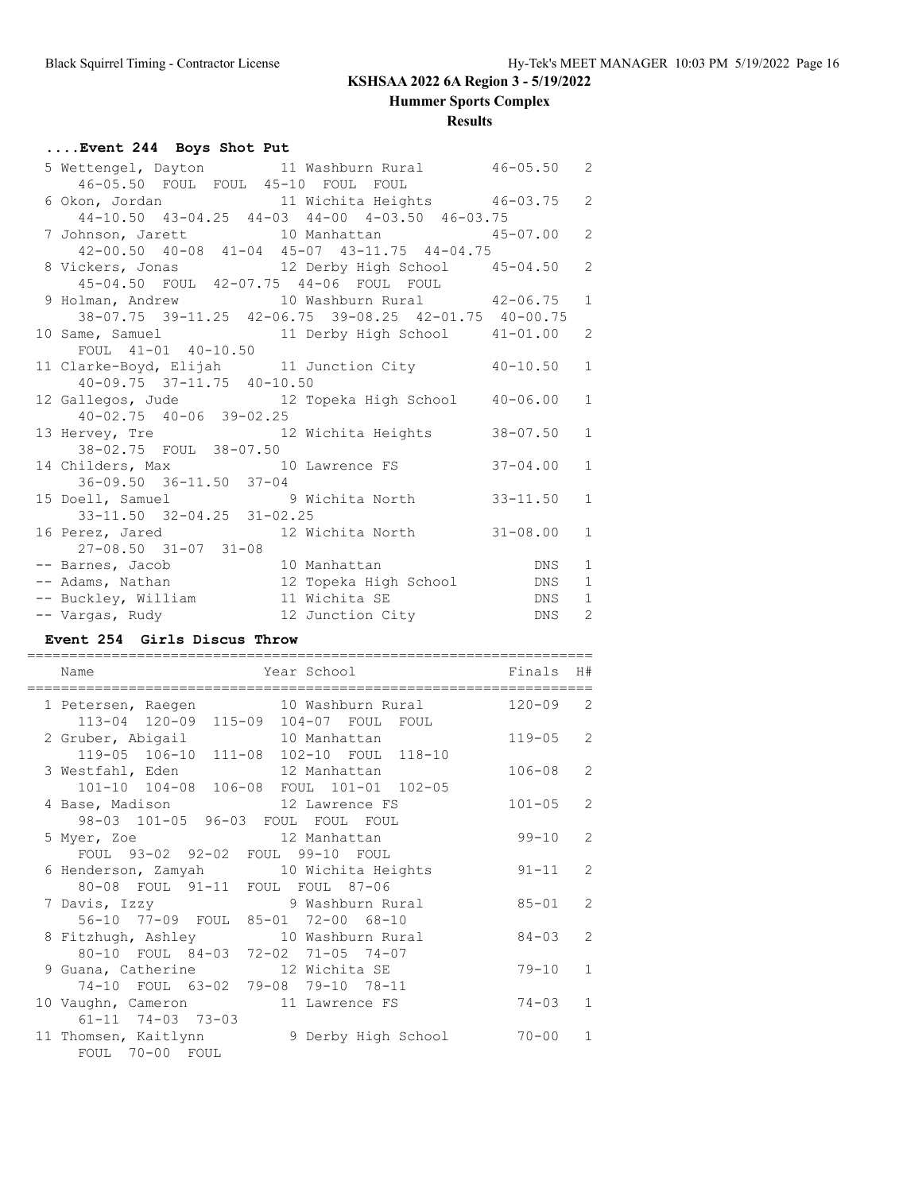**Hummer Sports Complex**

### **Results**

## **....Event 244 Boys Shot Put**

| 5 Wettengel, Dayton 11 Washburn Rural 46-05.50 2                                          |                                                       |                |                |
|-------------------------------------------------------------------------------------------|-------------------------------------------------------|----------------|----------------|
| 46-05.50 FOUL FOUL 45-10 FOUL FOUL                                                        |                                                       |                |                |
| 6 Okon, Jordan 11 Wichita Heights 46-03.75 2                                              |                                                       |                |                |
| 44-10.50 43-04.25 44-03 44-00 4-03.50 46-03.75                                            |                                                       |                |                |
| 7 Johnson, Jarett 10 Manhattan 45-07.00 2<br>42-00.50 40-08 41-04 45-07 43-11.75 44-04.75 |                                                       |                |                |
|                                                                                           |                                                       |                |                |
| 8 Vickers, Jonas 12 Derby High School 45-04.50                                            |                                                       |                | $\overline{c}$ |
| 45-04.50 FOUL 42-07.75 44-06 FOUL FOUL<br>9 Holman, Andrew 10 Washburn Rural 42-06.75 1   |                                                       |                |                |
|                                                                                           |                                                       |                |                |
|                                                                                           | 38-07.75 39-11.25 42-06.75 39-08.25 42-01.75 40-00.75 |                |                |
| 10 Same, Samuel 11 Derby High School 41-01.00 2                                           |                                                       |                |                |
| FOUL 41-01 40-10.50                                                                       |                                                       |                |                |
| 11 Clarke-Boyd, Elijah 11 Junction City 40-10.50 1                                        |                                                       |                |                |
| 40-09.75 37-11.75 40-10.50                                                                |                                                       |                |                |
| 12 Gallegos, Jude 12 Topeka High School 40-06.00 1                                        |                                                       |                |                |
| $40 - 02.75$ $40 - 06$ $39 - 02.25$                                                       |                                                       |                |                |
| 13 Hervey, Tre 12 Wichita Heights                                                         |                                                       | $38 - 07.50$ 1 |                |
| 38-02.75 FOUL 38-07.50                                                                    |                                                       |                |                |
| 14 Childers, Max 10 Lawrence FS 37-04.00 1                                                |                                                       |                |                |
| 36-09.50 36-11.50 37-04                                                                   |                                                       |                |                |
| 15 Doell, Samuel 9 Wichita North 33-11.50 1                                               |                                                       |                |                |
| 33-11.50 32-04.25 31-02.25                                                                |                                                       |                |                |
| 16 Perez, Jared 12 Wichita North 31-08.00 1                                               |                                                       |                |                |
| 27-08.50 31-07 31-08                                                                      |                                                       |                |                |
|                                                                                           |                                                       |                | $\mathbf{1}$   |
|                                                                                           |                                                       |                | $\mathbf 1$    |
|                                                                                           |                                                       |                |                |
|                                                                                           |                                                       |                |                |

#### **Event 254 Girls Discus Throw**

| Name                                                                          | Year School         | Finals     | H#             |
|-------------------------------------------------------------------------------|---------------------|------------|----------------|
| 1 Petersen, Raegen 10 Washburn Rural<br>113-04 120-09 115-09 104-07 FOUL FOUL |                     | $120 - 09$ | 2              |
| 2 Gruber, Abigail 10 Manhattan<br>119-05 106-10 111-08 102-10 FOUL 118-10     |                     | $119 - 05$ | 2              |
| 3 Westfahl, Eden 12 Manhattan<br>101-10 104-08 106-08 FOUL 101-01 102-05      |                     | $106 - 08$ | $\overline{2}$ |
| 4 Base, Madison 12 Lawrence FS<br>98-03 101-05 96-03 FOUL FOUL FOUL           |                     | $101 - 05$ | $\mathcal{L}$  |
| 12 Manhattan<br>5 Myer, Zoe<br>FOUL 93-02 92-02 FOUL 99-10 FOUL               |                     | $99 - 10$  | $\overline{2}$ |
| 6 Henderson, Zamyah 10 Wichita Heights<br>80-08 FOUL 91-11 FOUL FOUL 87-06    |                     | $91 - 11$  | $\mathcal{L}$  |
| 7 Davis, Izzy<br>56-10 77-09 FOUL 85-01 72-00 68-10                           | 9 Washburn Rural    | $85 - 01$  | $\overline{2}$ |
| 8 Fitzhugh, Ashley 10 Washburn Rural<br>80-10 FOUL 84-03 72-02 71-05 74-07    |                     | $84 - 0.3$ | $\overline{2}$ |
| 9 Guana, Catherine 12 Wichita SE<br>74-10 FOUL 63-02 79-08 79-10 78-11        |                     | $79 - 10$  | $\mathbf{1}$   |
| 10 Vaughn, Cameron 11 Lawrence FS<br>$61 - 11$ 74-03 73-03                    |                     | $74 - 03$  | $\mathbf{1}$   |
| 11 Thomsen, Kaitlynn<br>FOUL 70-00 FOUL                                       | 9 Derby High School | $70 - 00$  | $\mathbf{1}$   |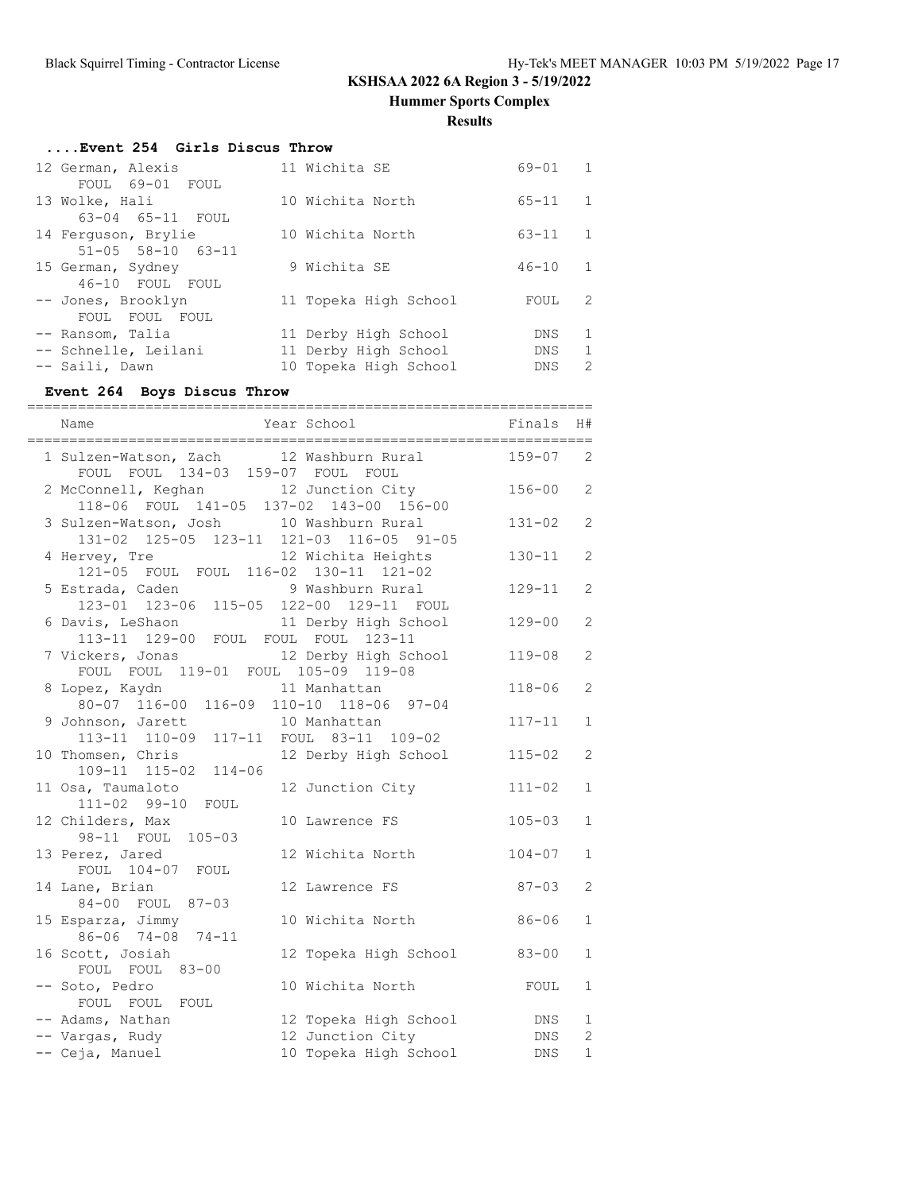**Hummer Sports Complex**

### **Results**

| Event 254 Girls Discus Throw  |  |                       |            |               |  |  |
|-------------------------------|--|-----------------------|------------|---------------|--|--|
| 12 German, Alexis             |  | 11 Wichita SE         | 69-01      | $\mathbf{1}$  |  |  |
| FOUL 69-01 FOUL               |  |                       |            |               |  |  |
| 13 Wolke, Hali                |  | 10 Wichita North      | $65 - 11$  | 1             |  |  |
| 63-04 65-11 FOUL              |  |                       |            |               |  |  |
| 14 Ferguson, Brylie           |  | 10 Wichita North      | $63 - 11$  | $\mathbf{1}$  |  |  |
| $51 - 05$ $58 - 10$ $63 - 11$ |  |                       |            |               |  |  |
| 15 German, Sydney             |  | 9 Wichita SE          | $46 - 10$  | 1             |  |  |
| 46-10 FOUL FOUL               |  |                       |            |               |  |  |
| -- Jones, Brooklyn            |  | 11 Topeka High School | FOUL       | 2             |  |  |
| FOUL FOUL FOUL                |  |                       |            |               |  |  |
| -- Ransom, Talia              |  | 11 Derby High School  | DNS.       | 1             |  |  |
| -- Schnelle, Leilani          |  | 11 Derby High School  | DNS        | $\mathbf{1}$  |  |  |
| -- Saili, Dawn                |  | 10 Topeka High School | <b>DNS</b> | $\mathcal{L}$ |  |  |
|                               |  |                       |            |               |  |  |

## **Event 264 Boys Discus Throw**

| Year School<br>Name                                                                 |                                           | Finals     | H#                             |
|-------------------------------------------------------------------------------------|-------------------------------------------|------------|--------------------------------|
| 1 Sulzen-Watson, Zach 12 Washburn Rural<br>FOUL FOUL 134-03 159-07 FOUL FOUL        |                                           | $159 - 07$ | 2                              |
| 2 McConnell, Keghan 12 Junction City<br>118-06 FOUL 141-05 137-02 143-00 156-00     |                                           | $156 - 00$ | $\overline{2}$                 |
| 3 Sulzen-Watson, Josh 10 Washburn Rural<br>131-02 125-05 123-11 121-03 116-05 91-05 |                                           | $131 - 02$ | $\overline{c}$                 |
| 4 Hervey, Tre<br>121-05 FOUL FOUL 116-02 130-11 121-02                              | 12 Wichita Heights                        | $130 - 11$ | 2                              |
| 5 Estrada, Caden<br>123-01 123-06 115-05 122-00 129-11 FOUL                         | 9 Washburn Rural                          | $129 - 11$ | 2                              |
| 6 Davis, LeShaon<br>113-11 129-00 FOUL FOUL FOUL 123-11                             | 11 Derby High School                      | $129 - 00$ | $\overline{2}$                 |
| 7 Vickers, Jonas<br>FOUL FOUL 119-01 FOUL 105-09 119-08                             | 12 Derby High School                      | $119 - 08$ | 2                              |
| 8 Lopez, Kaydn<br>11 Manhattan<br>80-07 116-00 116-09 110-10 118-06 97-04           |                                           | $118 - 06$ | $\overline{2}$                 |
| 9 Johnson, Jarett 10 Manhattan<br>113-11 110-09 117-11 FOUL 83-11 109-02            |                                           | $117 - 11$ | $\mathbf{1}$                   |
| 10 Thomsen, Chris<br>$109 - 11$ $115 - 02$ $114 - 06$                               | 12 Derby High School                      | $115 - 02$ | $\overline{2}$                 |
| 11 Osa, Taumaloto<br>111-02 99-10 FOUL                                              | 12 Junction City                          | $111 - 02$ | $\mathbf{1}$                   |
| 12 Childers, Max<br>98-11 FOUL 105-03                                               | 10 Lawrence FS                            | $105 - 03$ | $\mathbf{1}$                   |
| 13 Perez, Jared<br>FOUL 104-07 FOUL                                                 | 12 Wichita North                          | $104 - 07$ | $\mathbf{1}$                   |
| 14 Lane, Brian<br>84-00 FOUL 87-03                                                  | 12 Lawrence FS                            | $87 - 03$  | $\overline{2}$                 |
| 15 Esparza, Jimmy<br>86-06 74-08 74-11                                              | 10 Wichita North                          | $86 - 06$  | $\mathbf{1}$                   |
| 16 Scott, Josiah<br>FOUL FOUL 83-00                                                 | 12 Topeka High School                     | $83 - 00$  | $\mathbf{1}$                   |
| -- Soto, Pedro<br>FOUL FOUL FOUL                                                    | 10 Wichita North                          | FOUL       | $\mathbf{1}$                   |
| -- Adams, Nathan<br>-- Vargas, Rudy                                                 | 12 Topeka High School<br>12 Junction City | DNS<br>DNS | $\mathbf{1}$<br>$\overline{2}$ |
| -- Ceja, Manuel                                                                     | 10 Topeka High School                     | DNS        | $\mathbf 1$                    |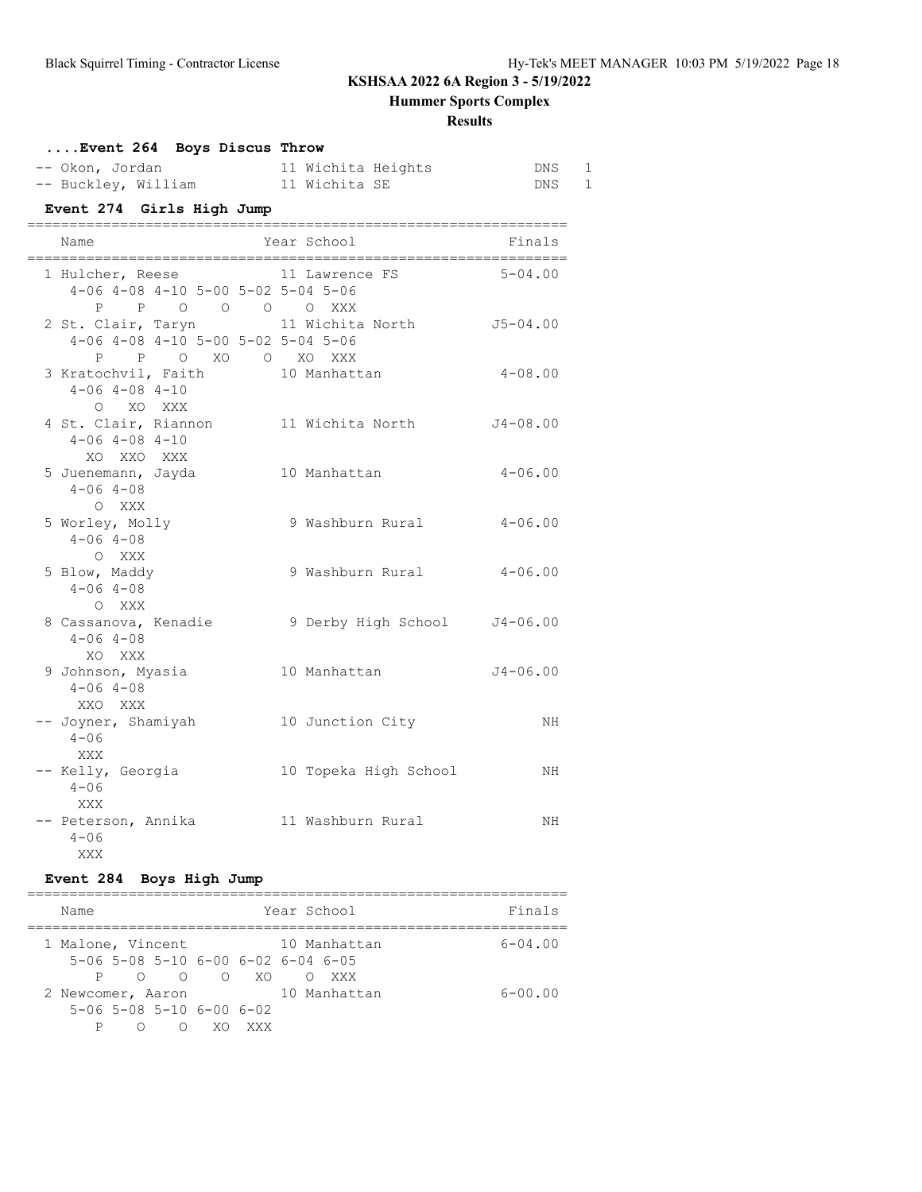**Hummer Sports Complex**

### **Results**

| Event 264 Boys Discus Throw                                                                                    |                           |                     |  |  |  |  |
|----------------------------------------------------------------------------------------------------------------|---------------------------|---------------------|--|--|--|--|
| -- Okon, Jordan                                                                                                | 11 Wichita Heights        | 1<br>DNS            |  |  |  |  |
| -- Buckley, William 11 Wichita SE                                                                              |                           | $\mathbf{1}$<br>DNS |  |  |  |  |
| Event 274 Girls High Jump                                                                                      |                           |                     |  |  |  |  |
| Name                                                                                                           | Year School               | Finals              |  |  |  |  |
| 1 Hulcher, Reese 11 Lawrence FS 5-04.00<br>$4-06$ $4-08$ $4-10$ $5-00$ $5-02$ $5-04$ $5-06$<br>P P O O O O XXX |                           |                     |  |  |  |  |
| 2 St. Clair, Taryn<br>$4-06$ $4-08$ $4-10$ $5-00$ $5-02$ $5-04$ $5-06$                                         | 11 Wichita North J5-04.00 |                     |  |  |  |  |
| P P O XO O XO XXX<br>3 Kratochvil, Faith<br>$4 - 06$ $4 - 08$ $4 - 10$                                         | 10 Manhattan              | $4 - 08.00$         |  |  |  |  |
| O XO XXX<br>4 St. Clair, Riannon<br>$4 - 06$ $4 - 08$ $4 - 10$                                                 | 11 Wichita North          | J4-08.00            |  |  |  |  |
| XO XXO XXX<br>5 Juenemann, Jayda<br>$4 - 06$ $4 - 08$                                                          | 10 Manhattan              | $4 - 06.00$         |  |  |  |  |
| O XXX<br>5 Worley, Molly<br>$4 - 06$ $4 - 08$<br>O XXX                                                         | 9 Washburn Rural          | $4 - 06.00$         |  |  |  |  |
| 5 Blow, Maddy<br>$4 - 06$ $4 - 08$<br>O XXX                                                                    | 9 Washburn Rural 4-06.00  |                     |  |  |  |  |
| 8 Cassanova, Kenadie (3) 9 Derby High School 54-06.00<br>$4 - 06$ $4 - 08$<br>XO XXX                           |                           |                     |  |  |  |  |
| 9 Johnson, Myasia 10 Manhattan<br>$4 - 06$ $4 - 08$<br>XXO XXX                                                 |                           | $J4 - 06.00$        |  |  |  |  |
| -- Joyner, Shamiyah<br>$4 - 06$<br>XXX                                                                         | 10 Junction City          | NH                  |  |  |  |  |
| -- Kelly, Georgia<br>$4 - 06$<br>XXX                                                                           | 10 Topeka High School     | NH                  |  |  |  |  |
| -- Peterson, Annika<br>$4 - 06$<br>XXX                                                                         | 11 Washburn Rural         | NΗ                  |  |  |  |  |

## **Event 284 Boys High Jump**

| Name                                                                                                                                                                                                                                                |                              |     | Year School                     | Finals      |
|-----------------------------------------------------------------------------------------------------------------------------------------------------------------------------------------------------------------------------------------------------|------------------------------|-----|---------------------------------|-------------|
| 1 Malone, Vincent<br>$5-06$ $5-08$ $5-10$ $6-00$ $6-02$ $6-04$ $6-05$                                                                                                                                                                               |                              |     | 10 Manhattan                    | $6 - 04.00$ |
| P and the set of the set of the set of the set of the set of the set of the set of the set of the set of the set of the set of the set of the set of the set of the set of the set of the set of the set of the set of the set<br>2 Newcomer, Aaron | $0 \quad 0 \quad 0 \quad X0$ |     | <b>XXX</b><br>∩<br>10 Manhattan | $6 - 00.00$ |
| $5-06$ $5-08$ $5-10$ $6-00$ $6-02$                                                                                                                                                                                                                  | ∩                            | xxx |                                 |             |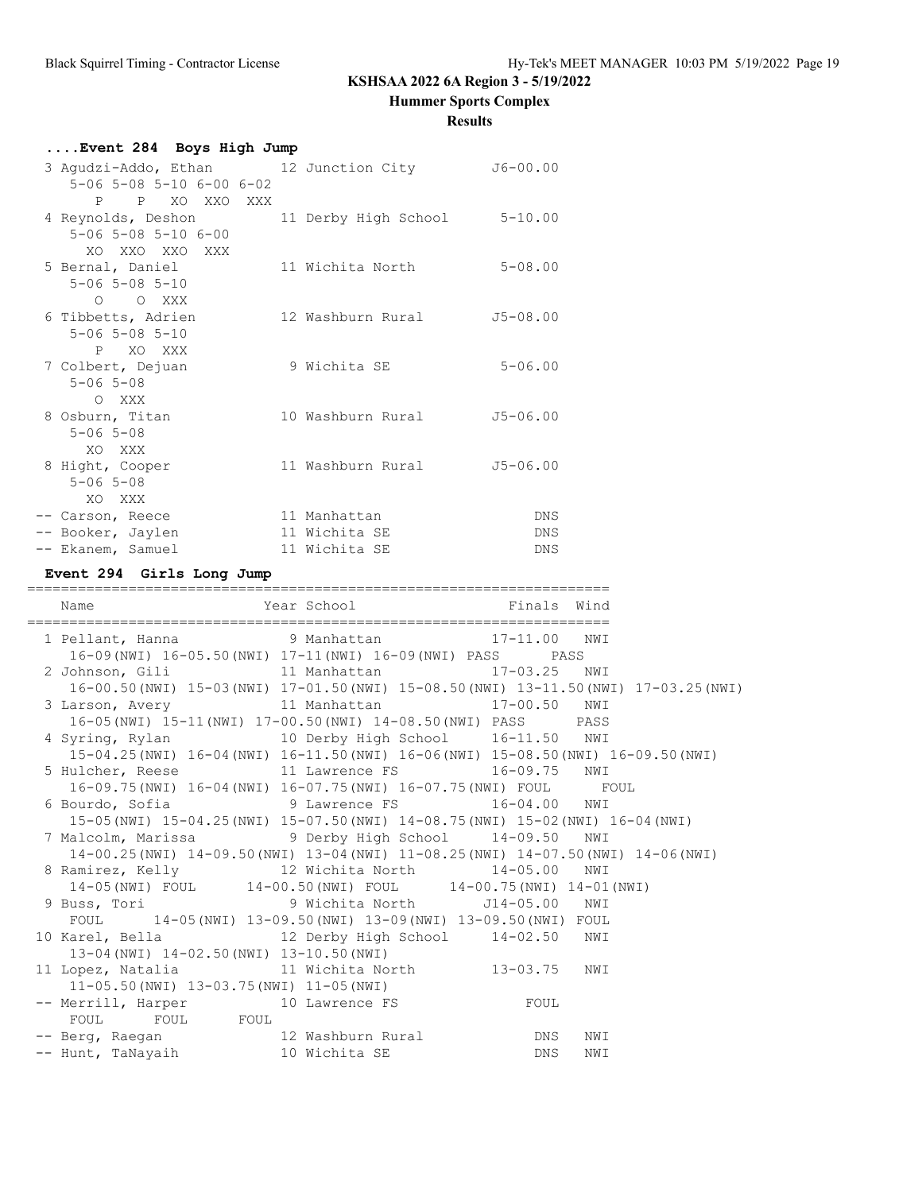**Hummer Sports Complex**

#### **Results**

| Event 284 Boys High Jump |                                              |  |                              |              |  |
|--------------------------|----------------------------------------------|--|------------------------------|--------------|--|
|                          | 3 Agudzi-Addo, Ethan 12 Junction City        |  |                              | $J6 - 00.00$ |  |
|                          | $5 - 06$ $5 - 08$ $5 - 10$ $6 - 00$ $6 - 02$ |  |                              |              |  |
|                          | P P XO XXO XXX                               |  |                              |              |  |
|                          | 4 Reynolds, Deshon                           |  | 11 Derby High School 5-10.00 |              |  |
|                          | $5 - 06$ $5 - 08$ $5 - 10$ $6 - 00$          |  |                              |              |  |
|                          | XO XXO XXO XXX                               |  |                              |              |  |
|                          | 5 Bernal, Daniel                             |  | 11 Wichita North             | $5 - 08.00$  |  |
|                          | $5 - 06$ $5 - 08$ $5 - 10$                   |  |                              |              |  |
|                          | O O XXX                                      |  |                              |              |  |
|                          | 6 Tibbetts, Adrien                           |  | 12 Washburn Rural            | $J5 - 08.00$ |  |
|                          | $5 - 06$ $5 - 08$ $5 - 10$                   |  |                              |              |  |
|                          | P XO XXX                                     |  |                              |              |  |
|                          | 7 Colbert, Dejuan                            |  | 9 Wichita SE                 | $5 - 06.00$  |  |
|                          | $5 - 06$ $5 - 08$                            |  |                              |              |  |
|                          | O XXX                                        |  |                              |              |  |
|                          | 8 Osburn, Titan                              |  | 10 Washburn Rural            | $J5 - 06.00$ |  |
|                          | $5 - 06$ $5 - 08$                            |  |                              |              |  |
|                          | XO XXX                                       |  |                              |              |  |
|                          | 8 Hight, Cooper                              |  | 11 Washburn Rural            | $J5 - 06.00$ |  |
|                          | $5 - 06$ $5 - 08$                            |  |                              |              |  |
|                          | XO XXX                                       |  |                              |              |  |
|                          | -- Carson, Reece                             |  | 11 Manhattan                 | DNS          |  |
|                          | -- Booker, Jaylen                            |  | 11 Wichita SE                | <b>DNS</b>   |  |
|                          | -- Ekanem, Samuel                            |  | 11 Wichita SE                | <b>DNS</b>   |  |

#### **Event 294 Girls Long Jump**

===================================================================== Name **Year School** Finals Wind ===================================================================== 1 Pellant, Hanna 9 Manhattan 17-11.00 NWI 16-09(NWI) 16-05.50(NWI) 17-11(NWI) 16-09(NWI) PASS PASS 2 Johnson, Gili 11 Manhattan 17-03.25 NWI 16-00.50(NWI) 15-03(NWI) 17-01.50(NWI) 15-08.50(NWI) 13-11.50(NWI) 17-03.25(NWI) 3 Larson, Avery 11 Manhattan 17-00.50 NWI 16-05(NWI) 15-11(NWI) 17-00.50(NWI) 14-08.50(NWI) PASS PASS 4 Syring, Rylan 10 Derby High School 16-11.50 NWI 15-04.25(NWI) 16-04(NWI) 16-11.50(NWI) 16-06(NWI) 15-08.50(NWI) 16-09.50(NWI) 5 Hulcher, Reese 11 Lawrence FS 16-09.75 NWI 16-09.75(NWI) 16-04(NWI) 16-07.75(NWI) 16-07.75(NWI) FOUL FOUL 6 Bourdo, Sofia 9 Lawrence FS 16-04.00 NWI 15-05(NWI) 15-04.25(NWI) 15-07.50(NWI) 14-08.75(NWI) 15-02(NWI) 16-04(NWI) 7 Malcolm, Marissa 9 Derby High School 14-09.50 NWI 14-00.25(NWI) 14-09.50(NWI) 13-04(NWI) 11-08.25(NWI) 14-07.50(NWI) 14-06(NWI) 8 Ramirez, Kelly 12 Wichita North 14-05.00 NWI 14-05(NWI) FOUL 14-00.50(NWI) FOUL 14-00.75(NWI) 14-01(NWI) 9 Buss, Tori 9 Wichita North J14-05.00 NWI FOUL 14-05(NWI) 13-09.50(NWI) 13-09(NWI) 13-09.50(NWI) FOUL 10 Karel, Bella 12 Derby High School 14-02.50 NWI 13-04(NWI) 14-02.50(NWI) 13-10.50(NWI) 11 Lopez, Natalia 11 Wichita North 13-03.75 NWI 11-05.50(NWI) 13-03.75(NWI) 11-05(NWI) -- Merrill, Harper 10 Lawrence FS FOUL FOUL FOUL FOUL -- Berg, Raegan 12 Washburn Rural DNS NWI -- Hunt, TaNayaih 10 Wichita SE 2008 DNS NWI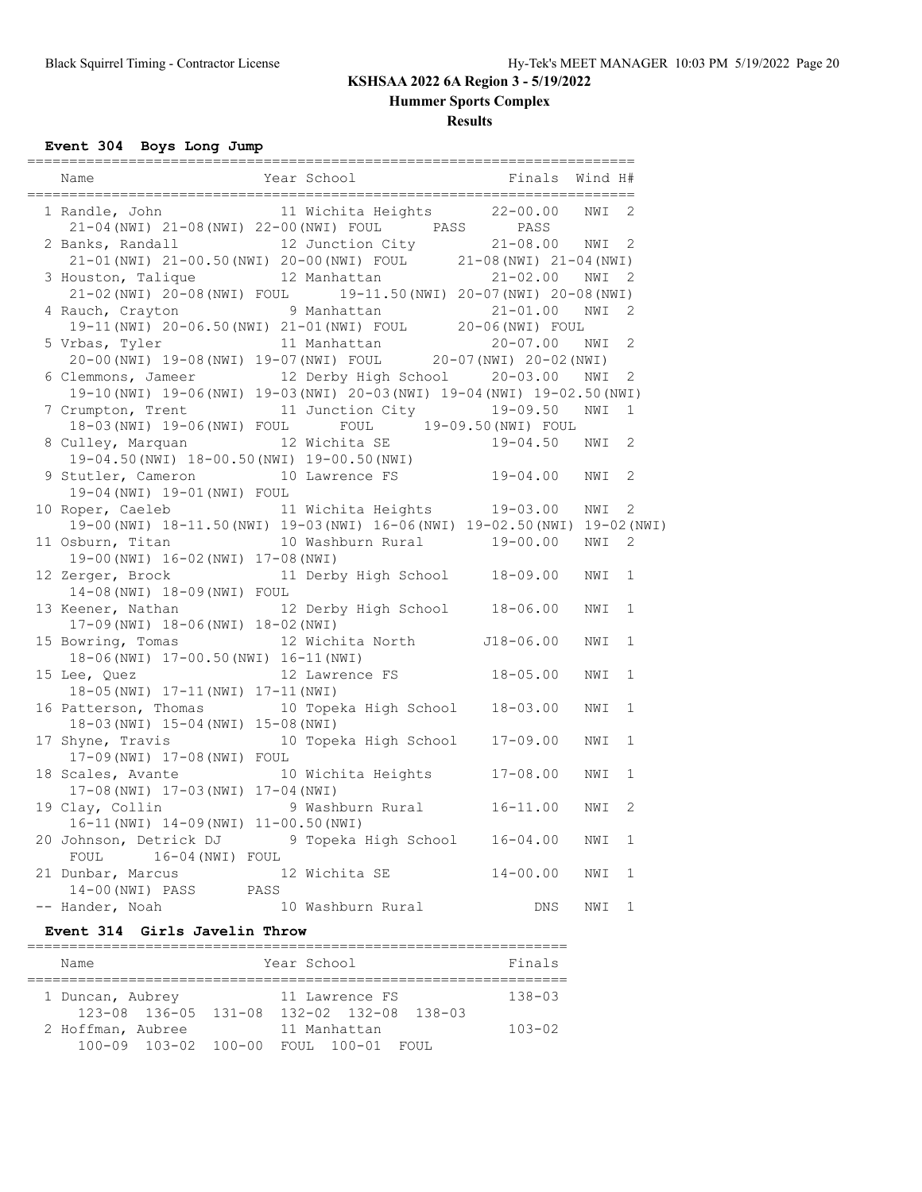**Hummer Sports Complex**

### **Results**

**Event 304 Boys Long Jump**

| Name                                                                                                                                                                                   | Year School                   | Finals       | Wind H# |              |
|----------------------------------------------------------------------------------------------------------------------------------------------------------------------------------------|-------------------------------|--------------|---------|--------------|
| 1 Randle, John                                                                                                                                                                         | 11 Wichita Heights 22-00.00   |              | NWI     | 2            |
| 21-04 (NWI) 21-08 (NWI) 22-00 (NWI) FOUL PASS PASS PASS<br>2 Banks, Randall 12 Junction City 21-08.00 NWI<br>21-01 (NWI) $21-00.50$ (NWI) $20-00$ (NWI) FOUL 21-08 (NWI) $21-04$ (NWI) |                               |              |         | 2            |
| 3 Houston, Talique                                                                                                                                                                     | 12 Manhattan                  | 21-02.00 NWI |         | 2            |
| 21-02 (NWI) 20-08 (NWI) FOUL 19-11.50 (NWI) 20-07 (NWI) 20-08 (NWI)<br>4 Rauch, Crayton                                                                                                | 9 Manhattan                   | $21 - 01.00$ | NWI     | 2            |
| auch, Craycon — 9 Manhactan — 21-01.00 m<br>19-11 (NWI) 20-06.50 (NWI) 21-01 (NWI) FOUL — 20-06 (NWI) FOUL                                                                             |                               |              |         |              |
| 5 Vrbas, Tyler                                                                                                                                                                         | 11 Manhattan                  | $20 - 07.00$ | NWI     | 2            |
| 20-00 (NWI) 19-08 (NWI) 19-07 (NWI) FOUL 20-07 (NWI) 20-02 (NWI)                                                                                                                       |                               |              |         |              |
| 6 Clemmons, Jameer 12 Derby High School 20-03.00 NWI                                                                                                                                   |                               |              |         | 2            |
| 19-10 (NWI) 19-06 (NWI) 19-03 (NWI) 20-03 (NWI) 19-04 (NWI) 19-02.50 (NWI)                                                                                                             |                               |              |         |              |
| 7 Crumpton, Trent<br>18-03 (NWI) 19-06 (NWI) FOUL FOUL 19-09.50 (NWI) FOUL                                                                                                             | 11 Junction City 19-09.50     |              | NWI     | 1            |
| 8 Culley, Marquan                                                                                                                                                                      | 12 Wichita SE                 | 19-04.50 NWI |         | 2            |
| 19-04.50 (NWI) 18-00.50 (NWI) 19-00.50 (NWI)                                                                                                                                           |                               |              |         |              |
| 9 Stutler, Cameron                                                                                                                                                                     | 10 Lawrence FS 19-04.00 NWI   |              |         | 2            |
| 19-04 (NWI) 19-01 (NWI) FOUL                                                                                                                                                           |                               |              |         |              |
| 10 Roper, Caeleb 11 Wichita Heights                                                                                                                                                    |                               | 19-03.00     | NWI     | 2            |
| 19-00 (NWI) 18-11.50 (NWI) 19-03 (NWI) 16-06 (NWI) 19-02.50 (NWI) 19-02 (NWI)                                                                                                          |                               |              |         |              |
| 11 Osburn, Titan                                                                                                                                                                       | 10 Washburn Rural 19-00.00    |              | NWI     | 2            |
| 19-00 (NWI) 16-02 (NWI) 17-08 (NWI)                                                                                                                                                    |                               |              |         |              |
| 12 Zerger, Brock                                                                                                                                                                       | 11 Derby High School 18-09.00 |              | NWI     | 1            |
| 14-08 (NWI) 18-09 (NWI) FOUL<br>13 Keener, Nathan                                                                                                                                      | 12 Derby High School 18-06.00 |              | NWI     | 1            |
| 17-09 (NWI) 18-06 (NWI) 18-02 (NWI)                                                                                                                                                    |                               |              |         |              |
| 15 Bowring, Tomas                                                                                                                                                                      | 12 Wichita North J18-06.00    |              | NWI     | $\mathbf 1$  |
| 18-06(NWI) 17-00.50(NWI) 16-11(NWI)                                                                                                                                                    |                               |              |         |              |
| 15 Lee, Quez                                                                                                                                                                           | 12 Lawrence FS                | $18 - 05.00$ | NWI     | $\mathbf 1$  |
| 18-05(NWI) 17-11(NWI) 17-11(NWI)                                                                                                                                                       |                               |              |         |              |
| 16 Patterson, Thomas 10 Topeka High School                                                                                                                                             |                               | $18 - 03.00$ | NWI     | $\mathbf 1$  |
| 18-03 (NWI) 15-04 (NWI) 15-08 (NWI)                                                                                                                                                    |                               |              |         |              |
| 17 Shyne, Travis                                                                                                                                                                       | 10 Topeka High School         | 17-09.00     | NWI     | 1            |
| 17-09(NWI) 17-08(NWI) FOUL                                                                                                                                                             |                               |              |         |              |
| 18 Scales, Avante<br>17-08 (NWI) 17-03 (NWI) 17-04 (NWI)                                                                                                                               | 10 Wichita Heights            | $17 - 08.00$ | NWI     | $\mathbf 1$  |
| 19 Clay, Collin                                                                                                                                                                        | 9 Washburn Rural              | $16 - 11.00$ | NWI     | 2            |
| 16-11 (NWI) 14-09 (NWI) 11-00.50 (NWI)                                                                                                                                                 |                               |              |         |              |
| 20 Johnson, Detrick DJ 9 Topeka High School                                                                                                                                            |                               | $16 - 04.00$ | NWI     | $\mathbf 1$  |
| 16-04(NWI) FOUL<br>FOUL                                                                                                                                                                |                               |              |         |              |
| 21 Dunbar, Marcus                                                                                                                                                                      | 12 Wichita SE                 | $14 - 00.00$ | NWI     | 1            |
| $14-00$ (NWI) PASS PASS                                                                                                                                                                |                               |              |         |              |
| -- Hander, Noah                                                                                                                                                                        | 10 Washburn Rural             | DNS          | NWI     | $\mathbf{1}$ |

### **Event 314 Girls Javelin Throw**

| Name                                      | Finals                                                                  |            |  |  |  |  |
|-------------------------------------------|-------------------------------------------------------------------------|------------|--|--|--|--|
| 1 Duncan, Aubrey                          | 11 Lawrence FS<br>$123-08$ $136-05$ $131-08$ $132-02$ $132-08$ $138-03$ | $138 - 03$ |  |  |  |  |
| 2 Hoffman, Aubree<br>100-09 103-02 100-00 | 11 Manhattan<br>FOUL 100-01 FOUL                                        | $103 - 02$ |  |  |  |  |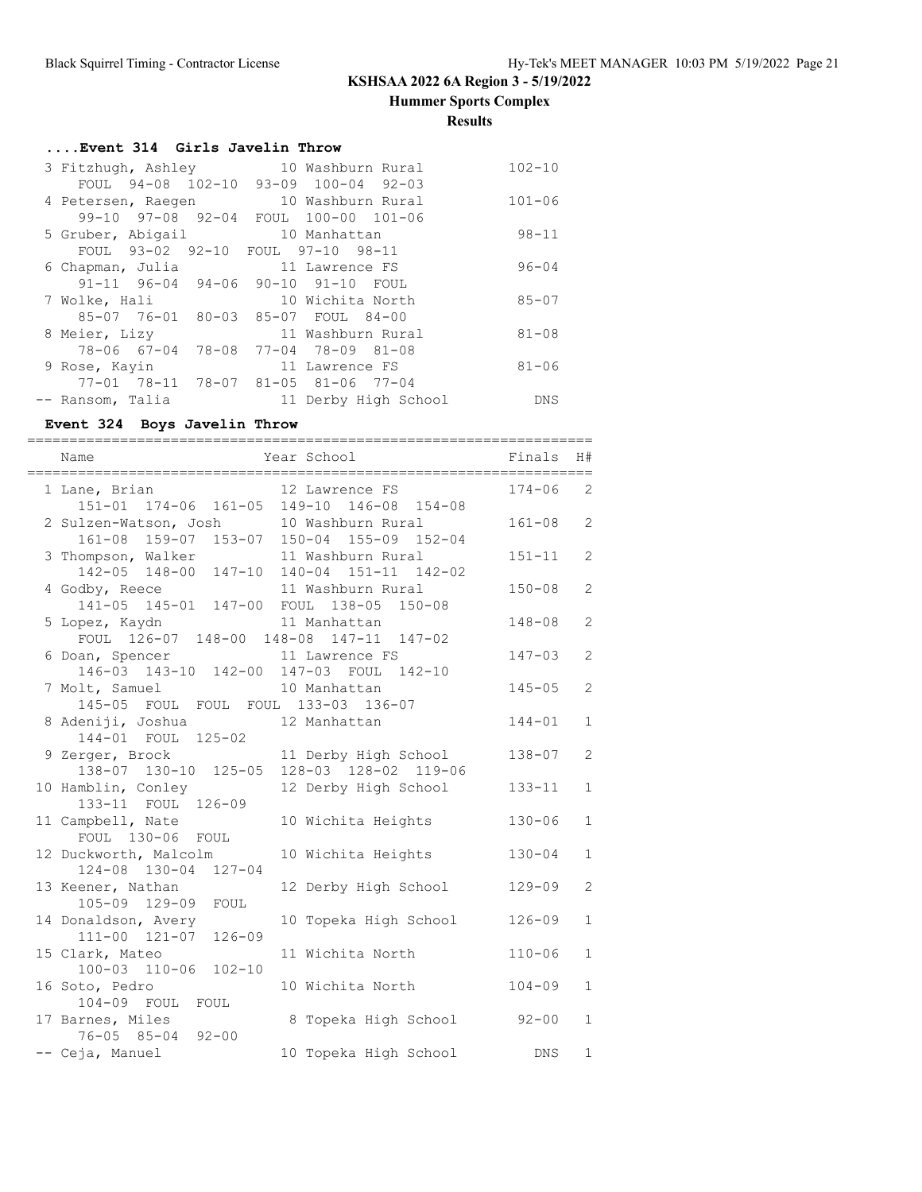**Hummer Sports Complex**

**Results**

## **....Event 314 Girls Javelin Throw**

| 3 Fitzhugh, Ashley                | 10 Washburn Rural                   | $102 - 10$ |
|-----------------------------------|-------------------------------------|------------|
| FOUL 94-08 102-10                 | $93 - 09$ 100-04 92-03              |            |
| 4 Petersen, Raegen                | 10 Washburn Rural                   | $101 - 06$ |
| $99 - 10$ $97 - 08$ $92 - 04$     | FOUL 100-00 101-06                  |            |
| 5 Gruber, Abigail                 | 10 Manhattan                        | $98 - 11$  |
| FOUL 93-02 92-10 FOUL 97-10 98-11 |                                     |            |
| 6 Chapman, Julia                  | 11 Lawrence FS                      | $96 - 04$  |
|                                   | 91-11 96-04 94-06 90-10 91-10 FOUL  |            |
| 7 Wolke, Hali                     | 10 Wichita North                    | $85 - 07$  |
|                                   | 85-07 76-01 80-03 85-07 FOUL 84-00  |            |
| 8 Meier, Lizy                     | 11 Washburn Rural                   | $81 - 08$  |
|                                   | 78-06 67-04 78-08 77-04 78-09 81-08 |            |
| 9 Rose, Kayin                     | 11 Lawrence FS                      | $81 - 06$  |
|                                   | 77-01 78-11 78-07 81-05 81-06 77-04 |            |
| -- Ransom, Talia                  | 11 Derby High School                | DNS        |

## **Event 324 Boys Javelin Throw**

| Name                                                                                 | Year School                                                 | Finals     | H#<br>$= 1000$ |
|--------------------------------------------------------------------------------------|-------------------------------------------------------------|------------|----------------|
| 1 Lane, Brian                                                                        | 12 Lawrence FS<br>151-01 174-06 161-05 149-10 146-08 154-08 | $174 - 06$ | $\overline{2}$ |
| 2 Sulzen-Watson, Josh 10 Washburn Rural<br>161-08 159-07 153-07 150-04 155-09 152-04 |                                                             | $161 - 08$ | $\overline{2}$ |
| 3 Thompson, Walker 11 Washburn Rural<br>142-05 148-00 147-10 140-04 151-11 142-02    |                                                             | $151 - 11$ | 2              |
| 4 Godby, Reece<br>141-05 145-01 147-00 FOUL 138-05 150-08                            | 11 Washburn Rural                                           | $150 - 08$ | 2              |
| 5 Lopez, Kaydn<br>FOUL 126-07 148-00 148-08 147-11 147-02                            | 11 Manhattan                                                | $148 - 08$ | $\overline{2}$ |
| 6 Doan, Spencer 11 Lawrence FS<br>146-03 143-10 142-00 147-03 FOUL 142-10            |                                                             | $147 - 03$ | 2              |
| 7 Molt, Samuel<br>145-05 FOUL FOUL FOUL 133-03 136-07                                | 10 Manhattan                                                | $145 - 05$ | $\overline{2}$ |
| 8 Adeniji, Joshua<br>144-01 FOUL 125-02                                              | 12 Manhattan                                                | $144 - 01$ | $\mathbf{1}$   |
| 9 Zerger, Brock<br>138-07 130-10 125-05 128-03 128-02 119-06                         | 11 Derby High School                                        | $138 - 07$ | $\overline{c}$ |
| 10 Hamblin, Conley<br>133-11 FOUL 126-09                                             | 12 Derby High School                                        | $133 - 11$ | $\mathbf{1}$   |
| 11 Campbell, Nate<br>FOUL 130-06 FOUL                                                | 10 Wichita Heights                                          | $130 - 06$ | $\mathbf{1}$   |
| 12 Duckworth, Malcolm<br>124-08 130-04 127-04                                        | 10 Wichita Heights                                          | $130 - 04$ | $\mathbf{1}$   |
| 13 Keener, Nathan<br>105-09 129-09<br>FOUL                                           | 12 Derby High School                                        | $129 - 09$ | $\overline{2}$ |
| 14 Donaldson, Avery<br>111-00 121-07 126-09                                          | 10 Topeka High School                                       | $126 - 09$ | $\mathbf{1}$   |
| 15 Clark, Mateo<br>100-03 110-06 102-10                                              | 11 Wichita North                                            | $110 - 06$ | $\mathbf{1}$   |
| 16 Soto, Pedro<br>104-09 FOUL<br>FOUL                                                | 10 Wichita North                                            | $104 - 09$ | $\mathbf{1}$   |
| 17 Barnes, Miles<br>76-05 85-04 92-00                                                | 8 Topeka High School                                        | $92 - 00$  | $\mathbf{1}$   |
| -- Ceja, Manuel                                                                      | 10 Topeka High School                                       | <b>DNS</b> | $\mathbf{1}$   |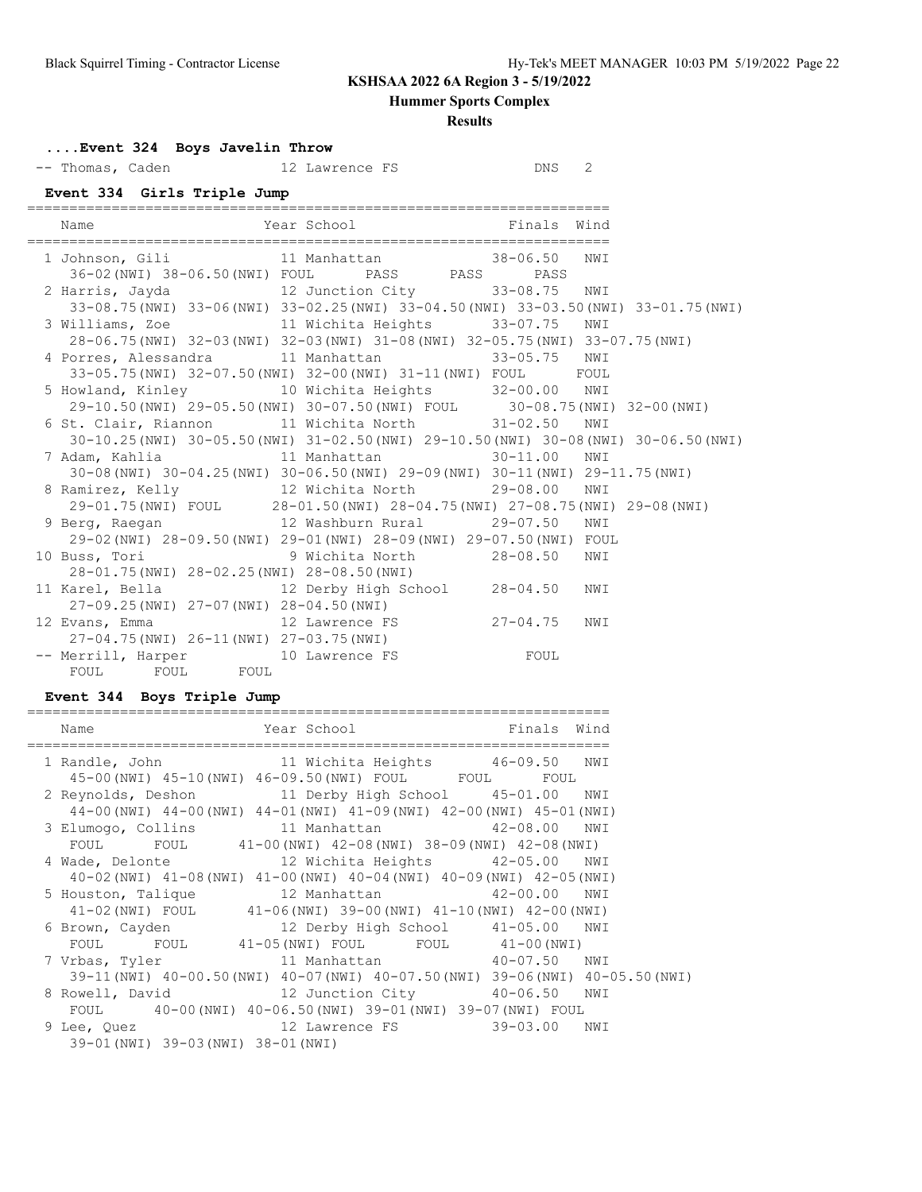**Hummer Sports Complex**

|                                                                                                                                     | <b>Results</b>                                                                         |     |  |
|-------------------------------------------------------------------------------------------------------------------------------------|----------------------------------------------------------------------------------------|-----|--|
| Event 324 Boys Javelin Throw                                                                                                        |                                                                                        |     |  |
| -- Thomas, Caden 12 Lawrence FS DNS 2                                                                                               |                                                                                        |     |  |
| Event 334 Girls Triple Jump                                                                                                         |                                                                                        |     |  |
| Name                                                                                                                                | Year School <a> Finals Wind</a> Finals Wind                                            |     |  |
| 1 Johnson, Gili 11 Manhattan 38-06.50<br>36-02 (NWI) 38-06.50 (NWI) FOUL PASS PASS PASS PASS                                        |                                                                                        | NWI |  |
| 2 Harris, Jayda<br>33-08.75 NWI<br>33-08.75 (NWI) 33-06 (NWI) 33-02.25 (NWI) 33-04.50 (NWI) 33-03.50 (NWI) 33-01.75 (NWI)           |                                                                                        |     |  |
| 3 Williams, Zoe 33-07.75 NWI<br>28-06.75 (NWI) 32-03 (NWI) 32-03 (NWI) 31-08 (NWI) 32-05.75 (NWI) 33-07.75 (NWI)                    |                                                                                        |     |  |
| 4 Porres, Alessandra 11 Manhattan 33-05.75 NWI                                                                                      | 33-05.75(NWI) 32-07.50(NWI) 32-00(NWI) 31-11(NWI) FOUL FOUL                            |     |  |
| 5 Howland, Kinley 10 Wichita Heights 32-00.00 NWI                                                                                   |                                                                                        |     |  |
| 29-10.50 (NWI) $29-05.50$ (NWI) $30-07.50$ (NWI) FOUL 30-08.75 (NWI) 32-00 (NWI) 6 St. Clair, Riannon 11 Wichita North 31-02.50 NWI | 30-10.25 (NWI) 30-05.50 (NWI) 31-02.50 (NWI) 29-10.50 (NWI) 30-08 (NWI) 30-06.50 (NWI) |     |  |
| 7 Adam, Kahlia                 11 Manhattan                 30-11.00   NWI                                                          | 30-08 (NWI) 30-04.25 (NWI) 30-06.50 (NWI) 29-09 (NWI) 30-11 (NWI) 29-11.75 (NWI)       |     |  |
| 8 Ramirez, Kelly 12 Wichita North 29-08.00<br>29-01.75 (NWI) FOUL 28-01.50 (NWI) 28-04.75 (NWI) 27-08.75 (NWI) 29-08 (NWI)          |                                                                                        | NWI |  |
| 9 Berg, Raegan 12 Washburn Rural 29-07.50 NWI<br>29-02 (NWI) 28-09.50 (NWI) 29-01 (NWI) 28-09 (NWI) 29-07.50 (NWI) FOUL             |                                                                                        |     |  |
| 10 Buss, Tori 9 Wichita North 28-08.50<br>28-01.75(NWI) 28-02.25(NWI) 28-08.50(NWI)                                                 |                                                                                        | NWI |  |
| 11 Karel, Bella (12 Derby High School (28-04.50)<br>27-09.25(NWI) 27-07(NWI) 28-04.50(NWI)                                          |                                                                                        | NWI |  |
| 12 Evans, Emma 12 Lawrence FS 27-04.75<br>27-04.75(NWI) 26-11(NWI) 27-03.75(NWI)                                                    |                                                                                        | NWI |  |
| -- Merrill, Harper 10 Lawrence FS FOUL<br>FOUL FOUL FOUL                                                                            |                                                                                        |     |  |

## **Event 344 Boys Triple Jump**

| Name                                | Year School Finals Wind                                                          |  |
|-------------------------------------|----------------------------------------------------------------------------------|--|
|                                     | 1 Randle, John 11 Wichita Heights 46-09.50 NWI                                   |  |
|                                     | 45-00 (NWI) 45-10 (NWI) 46-09.50 (NWI) FOUL FOUL FOUL FOUL                       |  |
|                                     | 2 Reynolds, Deshon 11 Derby High School 45-01.00 NWI                             |  |
|                                     | 44-00 (NWI) 44-00 (NWI) 44-01 (NWI) 41-09 (NWI) 42-00 (NWI) 45-01 (NWI)          |  |
|                                     | 3 Elumogo, Collins 11 Manhattan 42-08.00 NWI                                     |  |
|                                     | FOUL FOUL 41-00 (NWI) 42-08 (NWI) 38-09 (NWI) 42-08 (NWI)                        |  |
|                                     | 4 Wade, Delonte 12 Wichita Heights 42-05.00 NWI                                  |  |
|                                     | 40-02 (NWI) 41-08 (NWI) 41-00 (NWI) 40-04 (NWI) 40-09 (NWI) 42-05 (NWI)          |  |
|                                     | 5 Houston, Talique 12 Manhattan 42-00.00 NWI                                     |  |
|                                     | 41-02 (NWI) FOUL 41-06 (NWI) 39-00 (NWI) 41-10 (NWI) 42-00 (NWI)                 |  |
|                                     | 6 Brown, Cayden 12 Derby High School 41-05.00 NWI                                |  |
|                                     | FOUL FOUL 41-05 (NWI) FOUL FOUL 41-00 (NWI)                                      |  |
|                                     | 7 Vrbas, Tyler 11 Manhattan 40-07.50 NWI                                         |  |
|                                     | 39-11 (NWI) 40-00.50 (NWI) 40-07 (NWI) 40-07.50 (NWI) 39-06 (NWI) 40-05.50 (NWI) |  |
|                                     | 8 Rowell, David 12 Junction City 40-06.50 NWI                                    |  |
|                                     | FOUL 40-00 (NWI) 40-06.50 (NWI) 39-01 (NWI) 39-07 (NWI) FOUL                     |  |
|                                     | 9 Lee, Quez                   12 Lawrence FS             39-03.00   NWI          |  |
| 39-01 (NWI) 39-03 (NWI) 38-01 (NWI) |                                                                                  |  |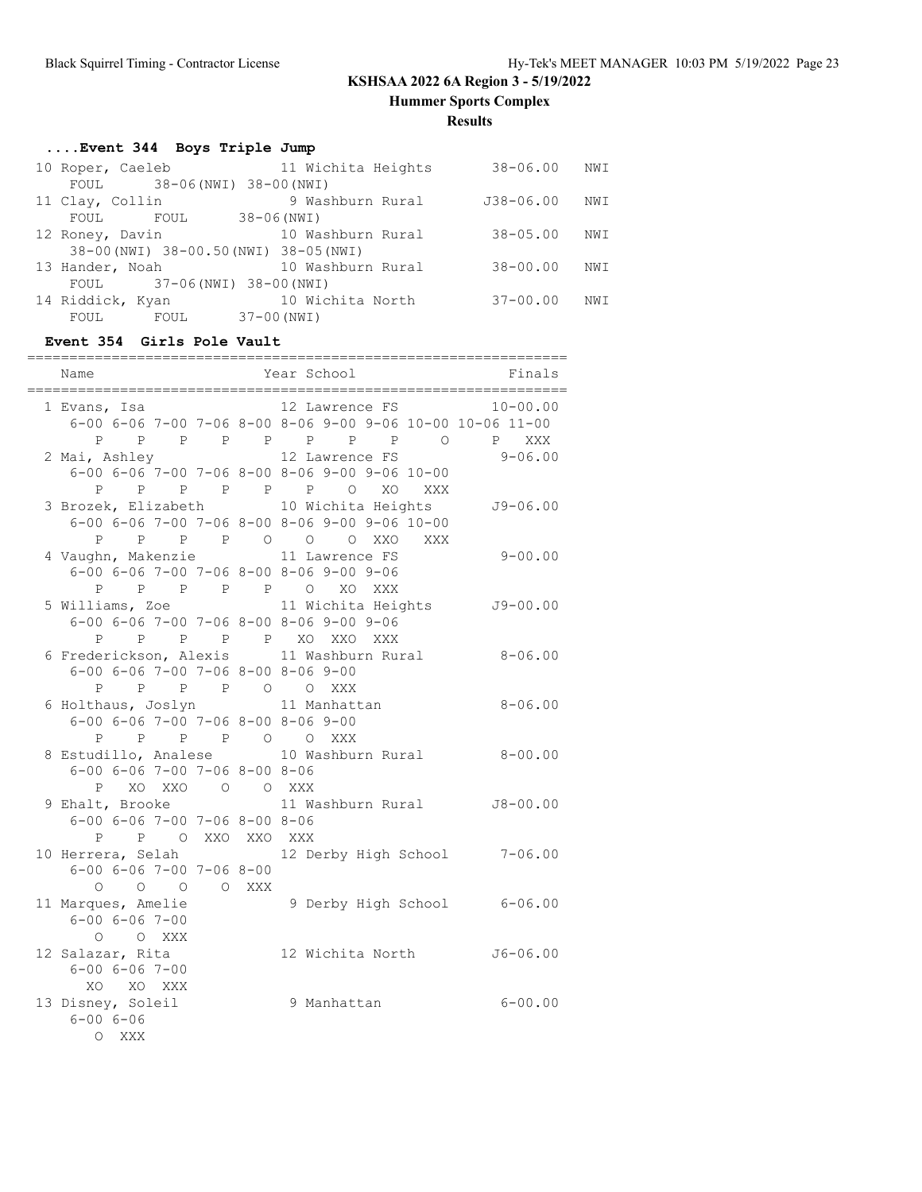**Hummer Sports Complex**

**Results**

## **....Event 344 Boys Triple Jump**

|                                        | 10 Roper, Caeleb    | 11 Wichita Heights    | $38 - 06.00$  | NWI  |  |
|----------------------------------------|---------------------|-----------------------|---------------|------|--|
|                                        | FOUL                | 38-06(NWI) 38-00(NWI) |               |      |  |
|                                        | 11 Clay, Collin     | 9 Washburn Rural      | $J38 - 06.00$ | NWI  |  |
|                                        | FOUL<br><b>FOUL</b> | $38 - 06$ (NWI)       |               |      |  |
|                                        | 12 Roney, Davin     | 10 Washburn Rural     | $38 - 05.00$  | NWI  |  |
| 38-00 (NWI) 38-00.50 (NWI) 38-05 (NWI) |                     |                       |               |      |  |
|                                        | 13 Hander, Noah     | 10 Washburn Rural     | $38 - 00.00$  | NWI  |  |
| FOUL 37-06 (NWI) 38-00 (NWI)           |                     |                       |               |      |  |
|                                        | 14 Riddick, Kyan    | 10 Wichita North      | $37 - 00.00$  | NW I |  |
|                                        | FOUL<br>FOUL        | 37-00 (NWI)           |               |      |  |

### **Event 354 Girls Pole Vault**

| Name                                                                                              | Year School                                                                          | Finals       |
|---------------------------------------------------------------------------------------------------|--------------------------------------------------------------------------------------|--------------|
| 1 Evans, Isa                                                                                      | 12 Lawrence FS                                                                       | $10 - 00.00$ |
| P                                                                                                 | 6-00 6-06 7-00 7-06 8-00 8-06 9-00 9-06 10-00 10-06 11-00<br>P P P P P P P P O P XXX |              |
| 2 Mai, Ashley                                                                                     | 12 Lawrence FS                                                                       | $9 - 06.00$  |
|                                                                                                   | $6-00$ $6-06$ $7-00$ $7-06$ $8-00$ $8-06$ $9-00$ $9-06$ $10-00$                      |              |
|                                                                                                   | P P P P P P O XO XXX                                                                 |              |
|                                                                                                   | 3 Brozek, Elizabeth 10 Wichita Heights                                               | $J9 - 06.00$ |
|                                                                                                   | 6-00 6-06 7-00 7-06 8-00 8-06 9-00 9-06 10-00                                        |              |
| P                                                                                                 | P P P O O O XXO XXX                                                                  |              |
| 4 Vaughn, Makenzie 11 Lawrence FS                                                                 |                                                                                      | $9 - 00.00$  |
| 6-00 6-06 7-00 7-06 8-00 8-06 9-00 9-06                                                           |                                                                                      |              |
| P P P P P O XO XXX                                                                                |                                                                                      |              |
|                                                                                                   | 5 Williams, Zoe 5 11 Wichita Heights 59-00.00                                        |              |
| $6 - 00$ $6 - 06$ $7 - 00$ $7 - 06$ $8 - 00$ $8 - 06$ $9 - 00$ $9 - 06$                           |                                                                                      |              |
| P P P P P XO XXO XXX<br>6 Frederickson, Alexis 11 Washburn Rural                                  |                                                                                      |              |
|                                                                                                   |                                                                                      | $8 - 06.00$  |
| $6-00$ $6-06$ $7-00$ $7-06$ $8-00$ $8-06$ $9-00$                                                  |                                                                                      |              |
| P P P O O XXX<br>P                                                                                |                                                                                      |              |
| 6 Holthaus, Joslyn 11 Manhattan<br>$6 - 00$ $6 - 06$ $7 - 00$ $7 - 06$ $8 - 00$ $8 - 06$ $9 - 00$ |                                                                                      | $8 - 06.00$  |
| P P P P O O XXX                                                                                   |                                                                                      |              |
|                                                                                                   | 8 Estudillo, Analese 10 Washburn Rural 8-00.00                                       |              |
| $6 - 00$ $6 - 06$ $7 - 00$ $7 - 06$ $8 - 00$ $8 - 06$                                             |                                                                                      |              |
| P XO XXO O O XXX                                                                                  |                                                                                      |              |
| 9 Ehalt, Brooke                                                                                   | 11 Washburn Rural                                                                    | $J8 - 00.00$ |
| $6 - 00$ $6 - 06$ $7 - 00$ $7 - 06$ $8 - 00$ $8 - 06$                                             |                                                                                      |              |
| P P O XXO XXO XXX                                                                                 |                                                                                      |              |
|                                                                                                   | 10 Herrera, Selah (12 Derby High School 7-06.00                                      |              |
| $6 - 00$ $6 - 06$ $7 - 00$ $7 - 06$ $8 - 00$                                                      |                                                                                      |              |
| $\begin{matrix} 0 & 0 & 0 & 0 & \text{XXX} \end{matrix}$                                          |                                                                                      |              |
| 11 Marques, Amelie                                                                                | 9 Derby High School 6-06.00                                                          |              |
| $6 - 00$ $6 - 06$ $7 - 00$                                                                        |                                                                                      |              |
| O O XXX                                                                                           |                                                                                      |              |
| 12 Salazar, Rita                                                                                  | 12 Wichita North                                                                     | $J6 - 06.00$ |
| $6 - 00$ $6 - 06$ $7 - 00$                                                                        |                                                                                      |              |
| XO XO XXX                                                                                         |                                                                                      |              |
| 13 Disney, Soleil<br>$6 - 006 - 06$                                                               | 9 Manhattan                                                                          | $6 - 00.00$  |
| O XXX                                                                                             |                                                                                      |              |
|                                                                                                   |                                                                                      |              |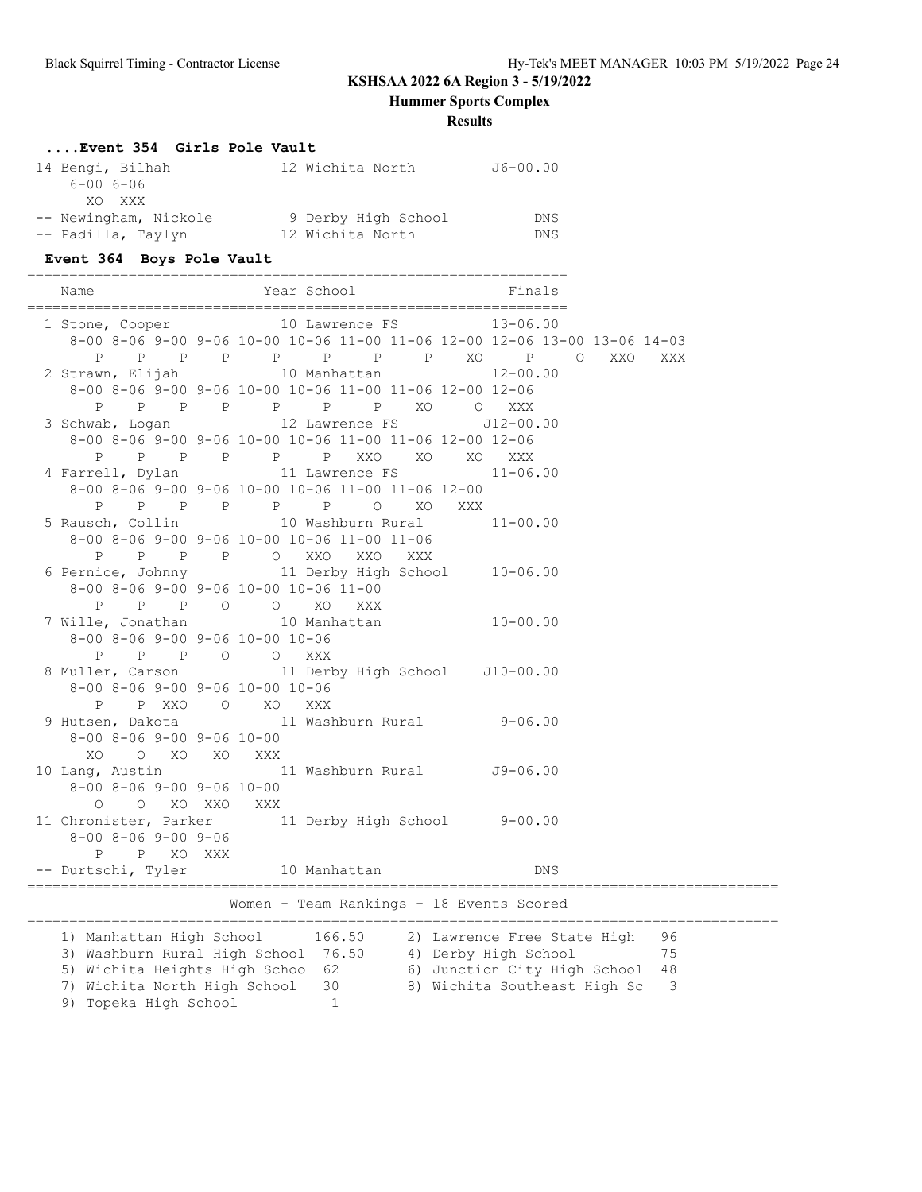**Hummer Sports Complex**

**Results**

# **....Event 354 Girls Pole Vault**

| 14 Bengi, Bilhah      | 12 Wichita North    | $J6 - 00.00$ |
|-----------------------|---------------------|--------------|
| $6 - 006 - 06$        |                     |              |
| XO XXX                |                     |              |
| -- Newingham, Nickole | 9 Derby High School | <b>DNS</b>   |
| -- Padilla, Taylyn    | 12 Wichita North    | DNS.         |

### **Event 364 Boys Pole Vault**

| Name                                                                                                    | Year School Finals                                                                                                                               |                                                                                                                                                                                                                                   |     |
|---------------------------------------------------------------------------------------------------------|--------------------------------------------------------------------------------------------------------------------------------------------------|-----------------------------------------------------------------------------------------------------------------------------------------------------------------------------------------------------------------------------------|-----|
| P                                                                                                       | 1 Stone, Cooper 10 Lawrence FS 13-06.00<br>P P P P P P P XO P O                                                                                  | 8-00 8-06 9-00 9-06 10-00 10-06 11-00 11-06 12-00 12-06 13-00 13-06 14-03<br>XXO                                                                                                                                                  | XXX |
|                                                                                                         | 2 Strawn, Elijah 10 Manhattan 12-00.00<br>8-00 8-06 9-00 9-06 10-00 10-06 11-00 11-06 12-00 12-06                                                |                                                                                                                                                                                                                                   |     |
|                                                                                                         | P P P P P P P XO O XXX<br>3 Schwab, Logan 12 Lawrence FS J12-00.00<br>8-00 8-06 9-00 9-06 10-00 10-06 11-00 11-06 12-00 12-06                    |                                                                                                                                                                                                                                   |     |
|                                                                                                         | P P P P P P XXO XO XO<br>4 Farrell, Dylan 11 Lawrence FS 11-06.00<br>8-00 8-06 9-00 9-06 10-00 10-06 11-00 11-06 12-00<br>P P P P P P P O XO XXX | XXX                                                                                                                                                                                                                               |     |
|                                                                                                         | 5 Rausch, Collin 10 Washburn Rural<br>8-00 8-06 9-00 9-06 10-00 10-06 11-00 11-06<br>P P P P O XXO XXO                                           | $11 - 00.00$                                                                                                                                                                                                                      |     |
|                                                                                                         | XXX<br>6 Pernice, Johnny 11 Derby High School 10-06.00<br>8-00 8-06 9-00 9-06 10-00 10-06 11-00<br>P P P O O XO XXX                              |                                                                                                                                                                                                                                   |     |
| 8-00 8-06 9-00 9-06 10-00 10-06                                                                         | 7 Wille, Jonathan 10 Manhattan 10-00.00                                                                                                          |                                                                                                                                                                                                                                   |     |
| P P P O O XXX<br>8-00 8-06 9-00 9-06 10-00 10-06                                                        | 8 Muller, Carson 11 Derby High School J10-00.00                                                                                                  |                                                                                                                                                                                                                                   |     |
| P P XXO O XO XXX<br>9 Hutsen, Dakota<br>$8 - 00$ $8 - 06$ $9 - 00$ $9 - 06$ $10 - 00$<br>XO O XO XO XXX | 11 Washburn Rural 9-06.00                                                                                                                        |                                                                                                                                                                                                                                   |     |
| $8-00$ $8-06$ $9-00$ $9-06$ $10-00$<br>O O XO XXO XXX                                                   | 10 Lang, Austin 11 Washburn Rural J9-06.00                                                                                                       |                                                                                                                                                                                                                                   |     |
| $8 - 00$ $8 - 06$ $9 - 00$ $9 - 06$<br>P XO XXX<br>P                                                    | 11 Chronister, Parker 11 Derby High School 9-00.00                                                                                               |                                                                                                                                                                                                                                   |     |
|                                                                                                         | -- Durtschi, Tyler 10 Manhattan                                                                                                                  | <b>DNS</b>                                                                                                                                                                                                                        |     |
|                                                                                                         | Women - Team Rankings - 18 Events Scored                                                                                                         |                                                                                                                                                                                                                                   |     |
| 7) Wichita North High School                                                                            | $30 -$                                                                                                                                           | 1) Manhattan High School 166.50 2) Lawrence Free State High 96<br>3) Washburn Rural High School 76.50 4) Derby High School 75<br>5) Wichita Heights High Schoo 62 6) Junction City High School 48<br>8) Wichita Southeast High Sc | 3   |

9) Topeka High School 1